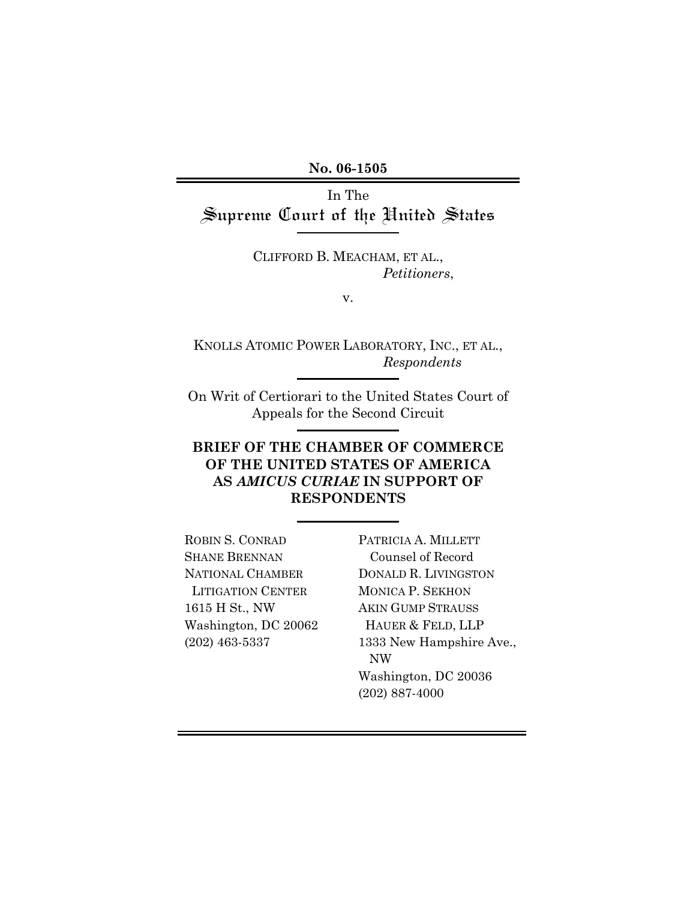**No. 06-1505** 

In The Supreme Court of the United States

> CLIFFORD B. MEACHAM, ET AL., *Petitioners*,

> > v.

KNOLLS ATOMIC POWER LABORATORY, INC., ET AL., *Respondents*

On Writ of Certiorari to the United States Court of Appeals for the Second Circuit

# **BRIEF OF THE CHAMBER OF COMMERCE OF THE UNITED STATES OF AMERICA AS** *AMICUS CURIAE* **IN SUPPORT OF RESPONDENTS**

ROBIN S. CONRAD SHANE BRENNAN NATIONAL CHAMBER LITIGATION CENTER 1615 H St., NW Washington, DC 20062 (202) 463-5337

PATRICIA A. MILLETT Counsel of Record DONALD R. LIVINGSTON MONICA P. SEKHON AKIN GUMP STRAUSS HAUER & FELD, LLP 1333 New Hampshire Ave., NW Washington, DC 20036 (202) 887-4000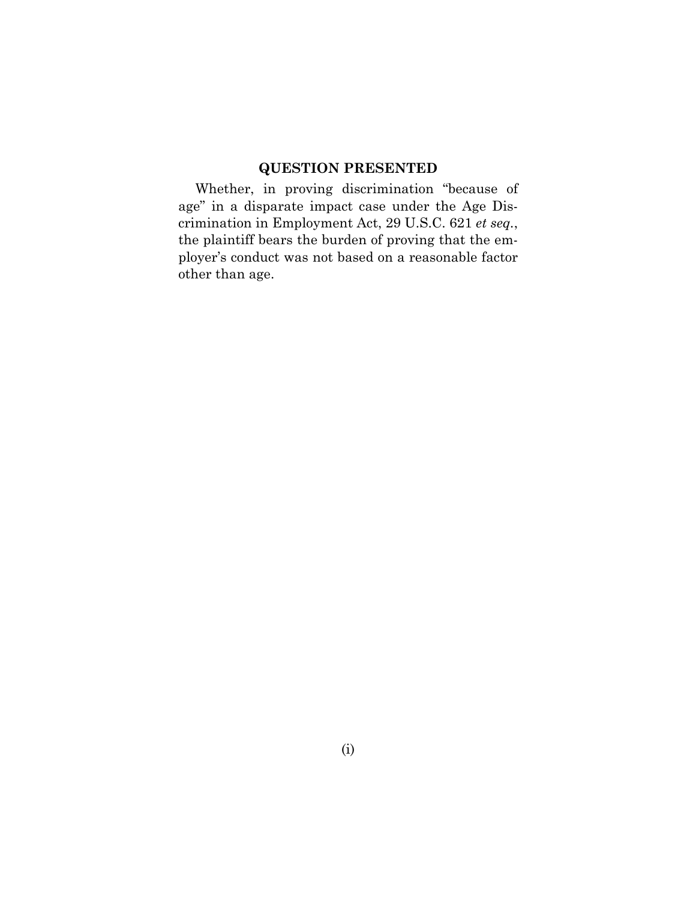# **QUESTION PRESENTED**

Whether, in proving discrimination "because of age" in a disparate impact case under the Age Discrimination in Employment Act, 29 U.S.C. 621 *et seq.*, the plaintiff bears the burden of proving that the employer's conduct was not based on a reasonable factor other than age.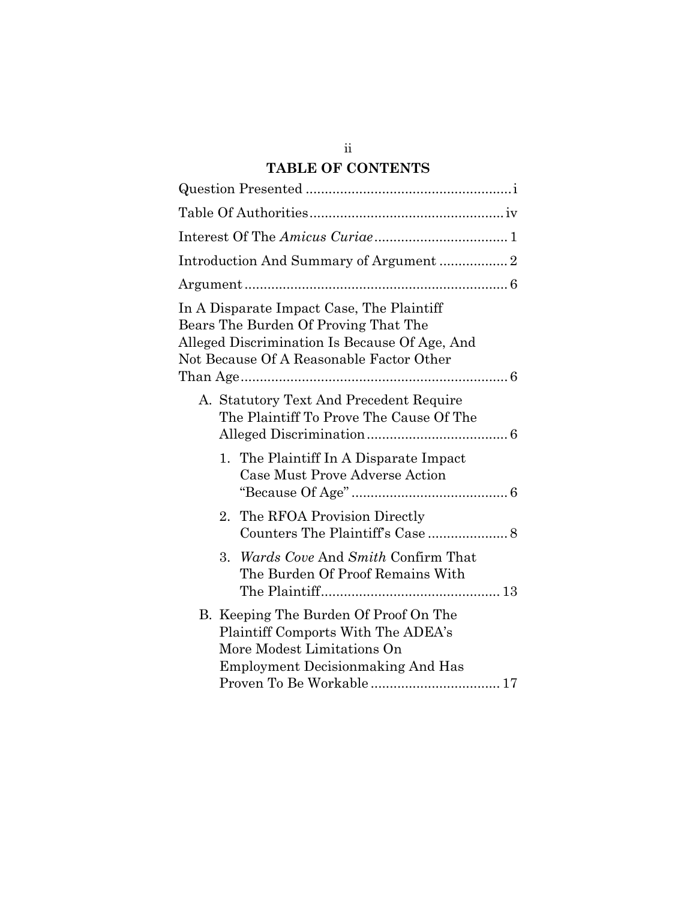# **TABLE OF CONTENTS**

| In A Disparate Impact Case, The Plaintiff<br>Bears The Burden Of Proving That The<br>Alleged Discrimination Is Because Of Age, And<br>Not Because Of A Reasonable Factor Other |  |
|--------------------------------------------------------------------------------------------------------------------------------------------------------------------------------|--|
| A. Statutory Text And Precedent Require<br>The Plaintiff To Prove The Cause Of The                                                                                             |  |
| 1. The Plaintiff In A Disparate Impact<br>Case Must Prove Adverse Action                                                                                                       |  |
| The RFOA Provision Directly<br>2.                                                                                                                                              |  |
| Wards Cove And Smith Confirm That<br>3.<br>The Burden Of Proof Remains With                                                                                                    |  |
| B. Keeping The Burden Of Proof On The<br>Plaintiff Comports With The ADEA's<br>More Modest Limitations On<br><b>Employment Decision making And Has</b>                         |  |

ii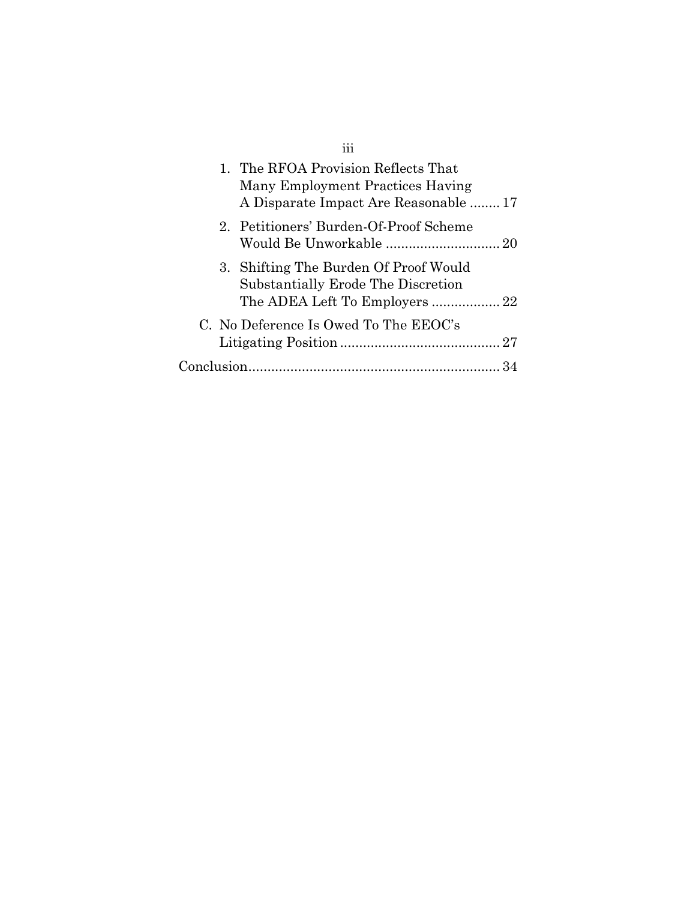| 1. The RFOA Provision Reflects That<br>Many Employment Practices Having<br>A Disparate Impact Are Reasonable  17 |  |
|------------------------------------------------------------------------------------------------------------------|--|
| 2. Petitioners' Burden-Of-Proof Scheme                                                                           |  |
| 3. Shifting The Burden Of Proof Would<br>Substantially Erode The Discretion                                      |  |
| C. No Deference Is Owed To The EEOC's                                                                            |  |
| Conclusion                                                                                                       |  |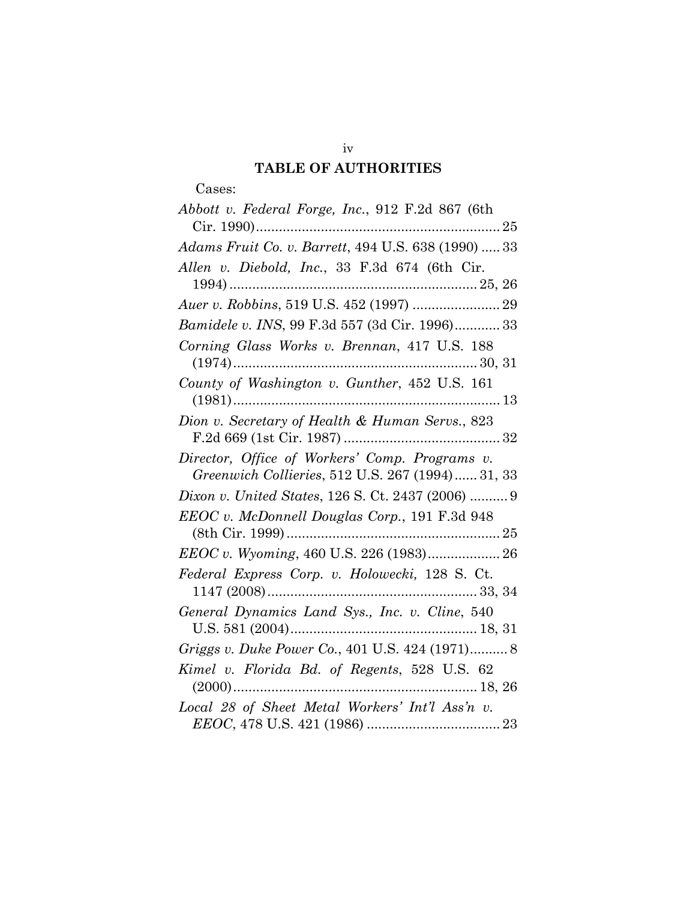# **TABLE OF AUTHORITIES**

# Cases:

| Abbott v. Federal Forge, Inc., 912 F.2d 867 (6th    |
|-----------------------------------------------------|
|                                                     |
| Adams Fruit Co. v. Barrett, 494 U.S. 638 (1990)  33 |
| Allen v. Diebold, Inc., 33 F.3d 674 (6th Cir.       |
|                                                     |
| Auer v. Robbins, 519 U.S. 452 (1997)  29            |
| Bamidele v. INS, 99 F.3d 557 (3d Cir. 1996) 33      |
| Corning Glass Works v. Brennan, 417 U.S. 188        |
|                                                     |
| County of Washington v. Gunther, 452 U.S. 161       |
|                                                     |
| Dion v. Secretary of Health & Human Servs., 823     |
|                                                     |
| Director, Office of Workers' Comp. Programs v.      |
| Greenwich Collieries, 512 U.S. 267 (1994) 31, 33    |
| Dixon v. United States, 126 S. Ct. 2437 (2006)  9   |
| EEOC v. McDonnell Douglas Corp., 191 F.3d 948       |
|                                                     |
| EEOC v. Wyoming, 460 U.S. 226 (1983) 26             |
| Federal Express Corp. v. Holowecki, 128 S. Ct.      |
|                                                     |
| General Dynamics Land Sys., Inc. v. Cline, 540      |
|                                                     |
| Griggs v. Duke Power Co., 401 U.S. 424 (1971) 8     |
| Kimel v. Florida Bd. of Regents, 528 U.S. 62        |
|                                                     |
| Local 28 of Sheet Metal Workers' Int'l Ass'n v.     |
|                                                     |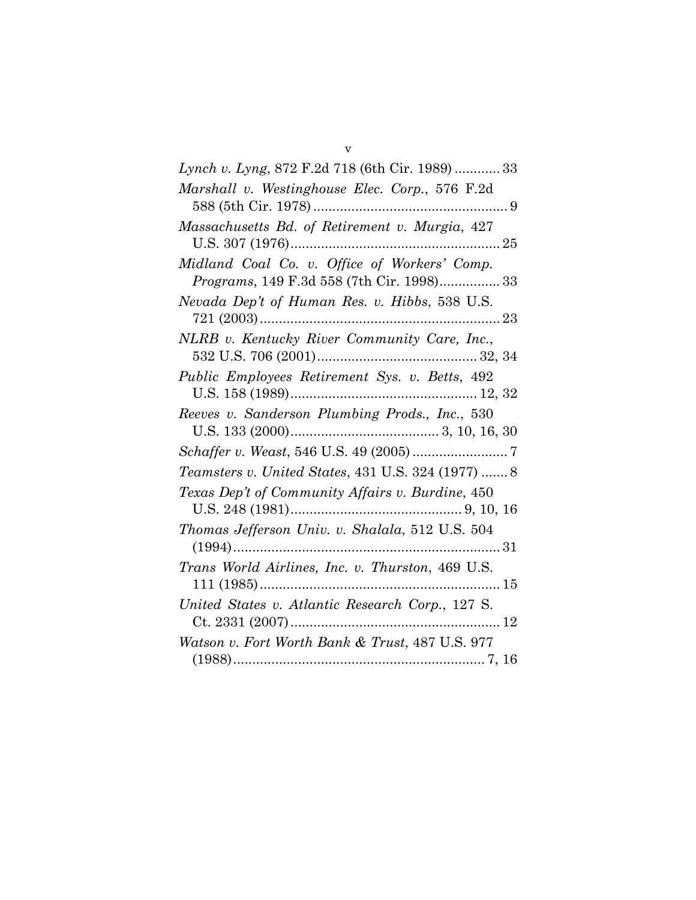| Lynch v. Lyng, 872 F.2d 718 (6th Cir. 1989)  33                                           |
|-------------------------------------------------------------------------------------------|
| Marshall v. Westinghouse Elec. Corp., 576 F.2d                                            |
| Massachusetts Bd. of Retirement v. Murgia, 427                                            |
| Midland Coal Co. v. Office of Workers' Comp.<br>Programs, 149 F.3d 558 (7th Cir. 1998) 33 |
| Nevada Dep't of Human Res. v. Hibbs, 538 U.S.                                             |
| NLRB v. Kentucky River Community Care, Inc.,                                              |
| Public Employees Retirement Sys. v. Betts, 492                                            |
| Reeves v. Sanderson Plumbing Prods., Inc., 530                                            |
|                                                                                           |
| <i>Teamsters v. United States, 431 U.S. 324 (1977)  8</i>                                 |
| Texas Dep't of Community Affairs v. Burdine, 450                                          |
| Thomas Jefferson Univ. v. Shalala, 512 U.S. 504                                           |
| Trans World Airlines, Inc. v. Thurston, 469 U.S.                                          |
| United States v. Atlantic Research Corp., 127 S.                                          |
| Watson v. Fort Worth Bank & Trust, 487 U.S. 977                                           |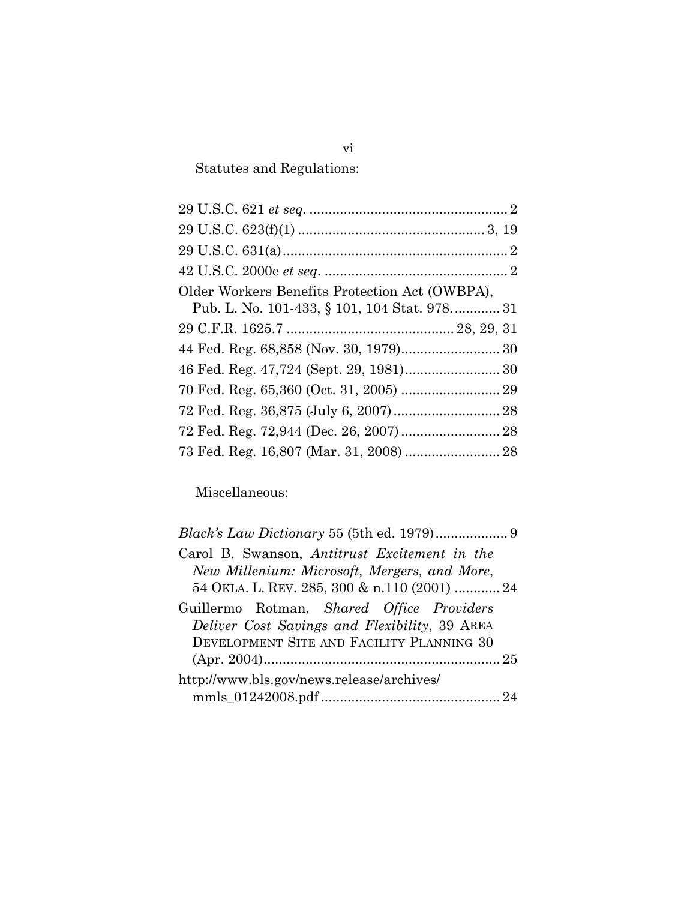Statutes and Regulations:

| Older Workers Benefits Protection Act (OWBPA), |  |
|------------------------------------------------|--|
| Pub. L. No. 101-433, § 101, 104 Stat. 978 31   |  |
|                                                |  |
|                                                |  |
|                                                |  |
|                                                |  |
|                                                |  |
|                                                |  |
| 73 Fed. Reg. 16,807 (Mar. 31, 2008)  28        |  |
|                                                |  |

Miscellaneous:

| Carol B. Swanson, Antitrust Excitement in the |  |
|-----------------------------------------------|--|
| New Millenium: Microsoft, Mergers, and More,  |  |
| 54 OKLA. L. REV. 285, 300 & n.110 (2001)  24  |  |
| Guillermo Rotman, Shared Office Providers     |  |
| Deliver Cost Savings and Flexibility, 39 AREA |  |
| DEVELOPMENT SITE AND FACILITY PLANNING 30     |  |
|                                               |  |
| http://www.bls.gov/news.release/archives/     |  |
|                                               |  |

vi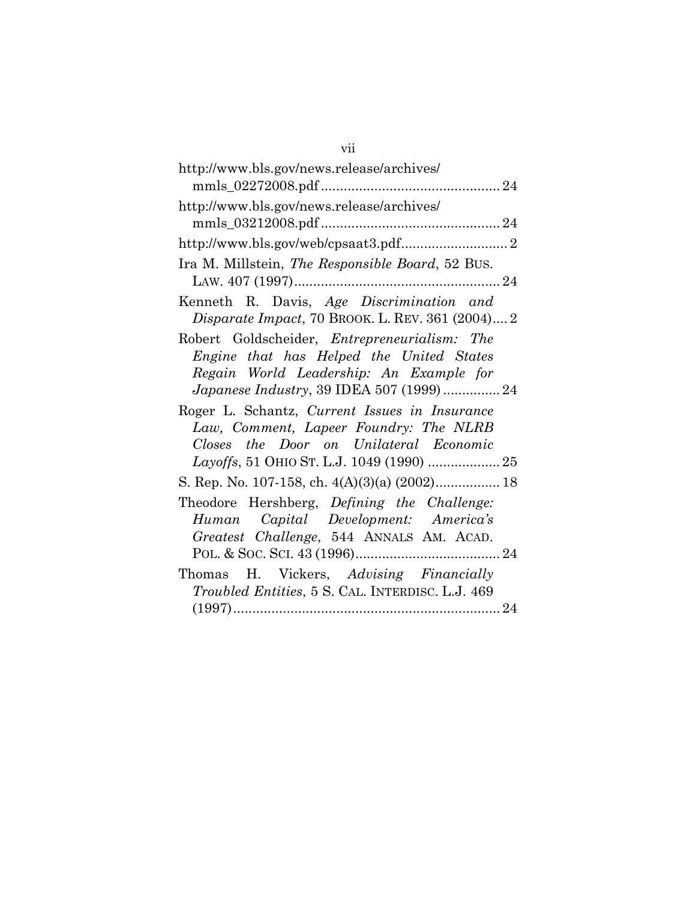| http://www.bls.gov/news.release/archives/                                                                                                                                        |
|----------------------------------------------------------------------------------------------------------------------------------------------------------------------------------|
| http://www.bls.gov/news.release/archives/                                                                                                                                        |
|                                                                                                                                                                                  |
| Ira M. Millstein, The Responsible Board, 52 BUS.                                                                                                                                 |
| Kenneth R. Davis, Age Discrimination and<br>Disparate Impact, 70 BROOK. L. REV. 361 (2004) 2                                                                                     |
| Robert Goldscheider, Entrepreneurialism: The<br>Engine that has Helped the United States<br>Regain World Leadership: An Example for<br>Japanese Industry, 39 IDEA 507 (1999)  24 |
| Roger L. Schantz, Current Issues in Insurance<br>Law, Comment, Lapeer Foundry: The NLRB<br>Closes the Door on Unilateral Economic                                                |
| S. Rep. No. 107-158, ch. 4(A)(3)(a) (2002) 18                                                                                                                                    |
| Theodore Hershberg, Defining the Challenge:<br>Human Capital Development: America's<br>Greatest Challenge, 544 ANNALS AM. ACAD.                                                  |
| Thomas H. Vickers, Advising Financially<br>Troubled Entities, 5 S. CAL. INTERDISC. L.J. 469                                                                                      |

vii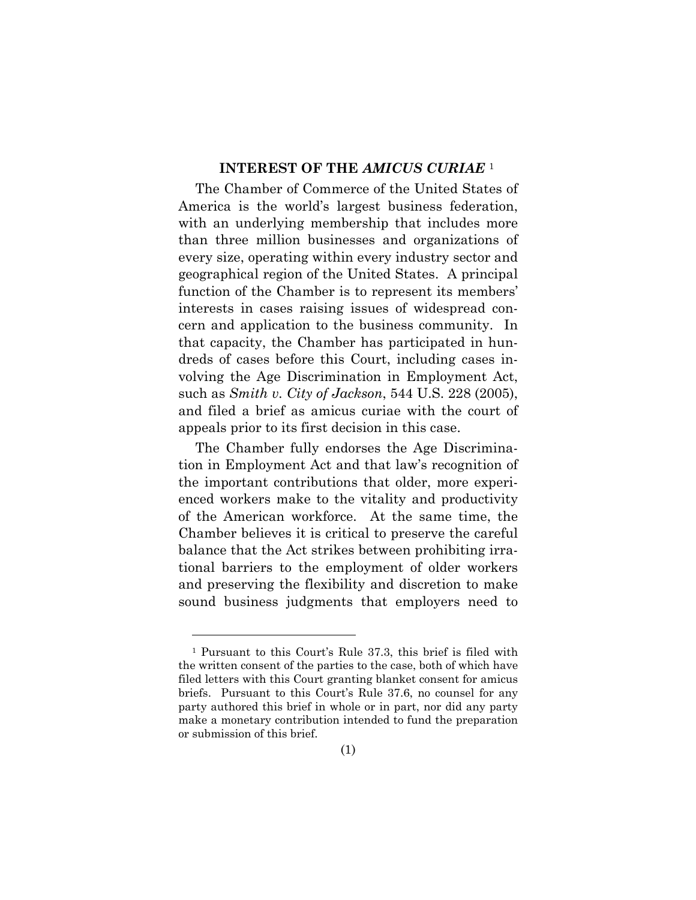#### **INTEREST OF THE** *AMICUS CURIAE* <sup>1</sup>

The Chamber of Commerce of the United States of America is the world's largest business federation, with an underlying membership that includes more than three million businesses and organizations of every size, operating within every industry sector and geographical region of the United States. A principal function of the Chamber is to represent its members' interests in cases raising issues of widespread concern and application to the business community. In that capacity, the Chamber has participated in hundreds of cases before this Court, including cases involving the Age Discrimination in Employment Act, such as *Smith v. City of Jackson*, 544 U.S. 228 (2005), and filed a brief as amicus curiae with the court of appeals prior to its first decision in this case.

The Chamber fully endorses the Age Discrimination in Employment Act and that law's recognition of the important contributions that older, more experienced workers make to the vitality and productivity of the American workforce. At the same time, the Chamber believes it is critical to preserve the careful balance that the Act strikes between prohibiting irrational barriers to the employment of older workers and preserving the flexibility and discretion to make sound business judgments that employers need to

<sup>1</sup> Pursuant to this Court's Rule 37.3, this brief is filed with the written consent of the parties to the case, both of which have filed letters with this Court granting blanket consent for amicus briefs. Pursuant to this Court's Rule 37.6, no counsel for any party authored this brief in whole or in part, nor did any party make a monetary contribution intended to fund the preparation or submission of this brief.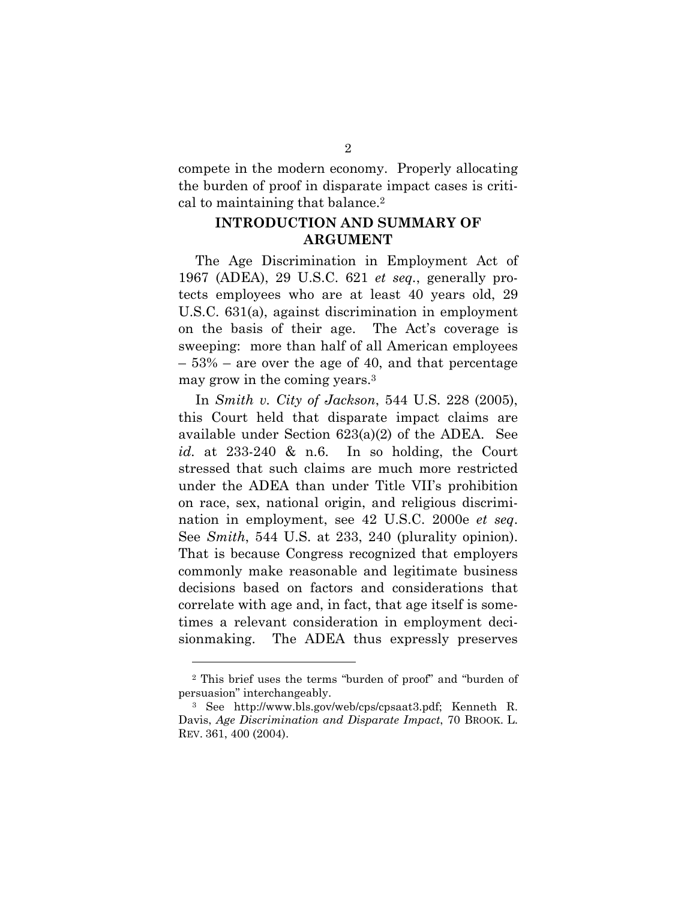compete in the modern economy. Properly allocating the burden of proof in disparate impact cases is critical to maintaining that balance.2

### **INTRODUCTION AND SUMMARY OF ARGUMENT**

The Age Discrimination in Employment Act of 1967 (ADEA), 29 U.S.C. 621 *et seq.*, generally protects employees who are at least 40 years old, 29 U.S.C. 631(a), against discrimination in employment on the basis of their age. The Act's coverage is sweeping: more than half of all American employees – 53% – are over the age of 40, and that percentage may grow in the coming years.3

In *Smith v. City of Jackson*, 544 U.S. 228 (2005), this Court held that disparate impact claims are available under Section 623(a)(2) of the ADEA. See *id.* at 233-240 & n.6. In so holding, the Court stressed that such claims are much more restricted under the ADEA than under Title VII's prohibition on race, sex, national origin, and religious discrimination in employment, see 42 U.S.C. 2000e *et seq*. See *Smith*, 544 U.S. at 233, 240 (plurality opinion). That is because Congress recognized that employers commonly make reasonable and legitimate business decisions based on factors and considerations that correlate with age and, in fact, that age itself is sometimes a relevant consideration in employment decisionmaking. The ADEA thus expressly preserves

<sup>2</sup> This brief uses the terms "burden of proof" and "burden of persuasion" interchangeably.

<sup>3</sup> See http://www.bls.gov/web/cps/cpsaat3.pdf; Kenneth R. Davis, *Age Discrimination and Disparate Impact*, 70 BROOK. L. REV. 361, 400 (2004).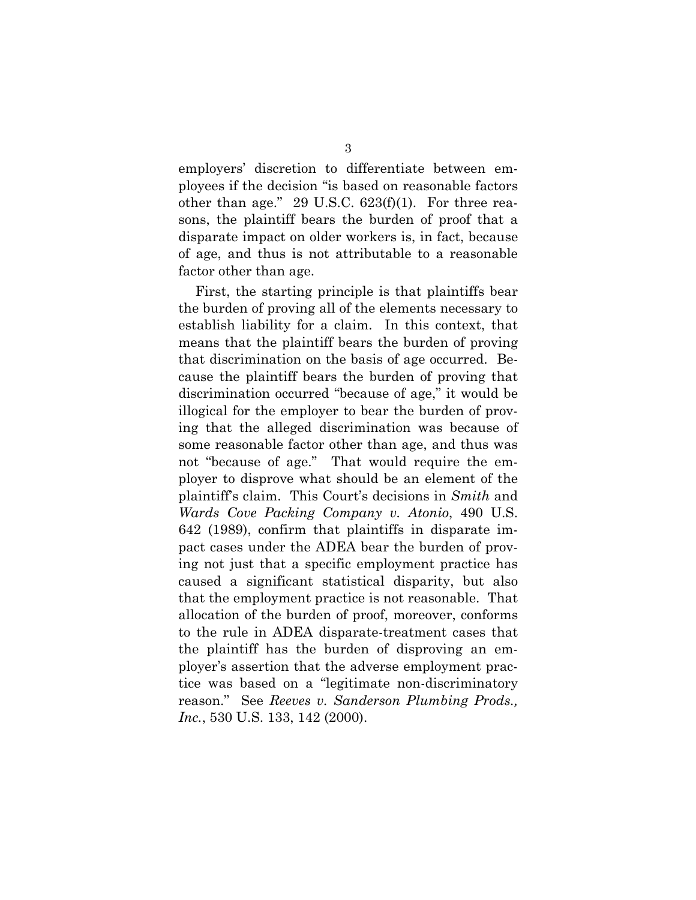employers' discretion to differentiate between employees if the decision "is based on reasonable factors other than age." 29 U.S.C.  $623(f)(1)$ . For three reasons, the plaintiff bears the burden of proof that a disparate impact on older workers is, in fact, because of age, and thus is not attributable to a reasonable factor other than age.

First, the starting principle is that plaintiffs bear the burden of proving all of the elements necessary to establish liability for a claim. In this context, that means that the plaintiff bears the burden of proving that discrimination on the basis of age occurred. Because the plaintiff bears the burden of proving that discrimination occurred "because of age," it would be illogical for the employer to bear the burden of proving that the alleged discrimination was because of some reasonable factor other than age, and thus was not "because of age." That would require the employer to disprove what should be an element of the plaintiff's claim. This Court's decisions in *Smith* and *Wards Cove Packing Company v. Atonio*, 490 U.S. 642 (1989), confirm that plaintiffs in disparate impact cases under the ADEA bear the burden of proving not just that a specific employment practice has caused a significant statistical disparity, but also that the employment practice is not reasonable. That allocation of the burden of proof, moreover, conforms to the rule in ADEA disparate-treatment cases that the plaintiff has the burden of disproving an employer's assertion that the adverse employment practice was based on a "legitimate non-discriminatory reason." See *Reeves v. Sanderson Plumbing Prods., Inc.*, 530 U.S. 133, 142 (2000).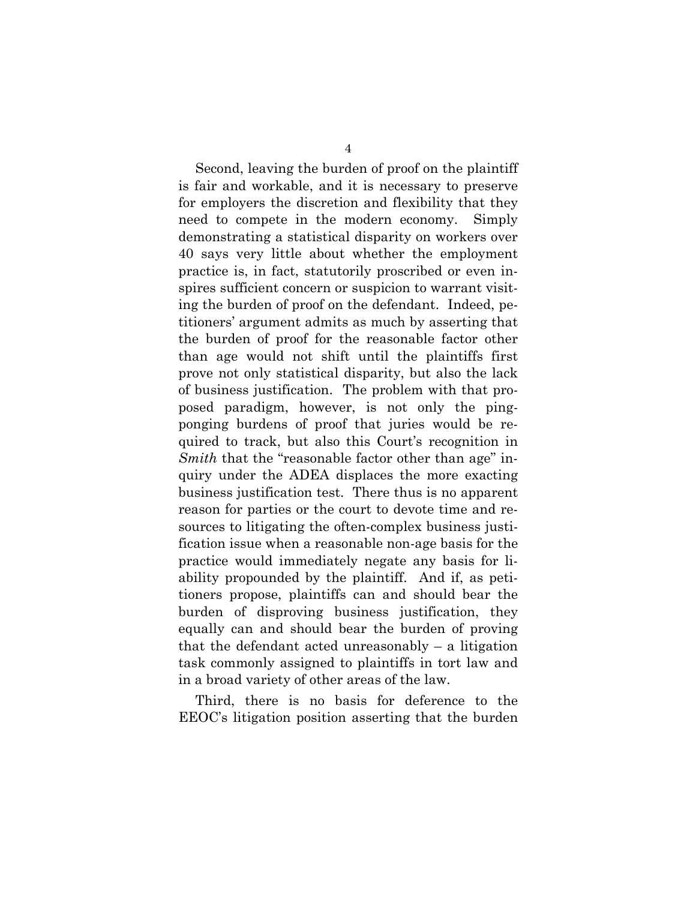Second, leaving the burden of proof on the plaintiff is fair and workable, and it is necessary to preserve for employers the discretion and flexibility that they need to compete in the modern economy. Simply demonstrating a statistical disparity on workers over 40 says very little about whether the employment practice is, in fact, statutorily proscribed or even inspires sufficient concern or suspicion to warrant visiting the burden of proof on the defendant. Indeed, petitioners' argument admits as much by asserting that the burden of proof for the reasonable factor other than age would not shift until the plaintiffs first prove not only statistical disparity, but also the lack of business justification. The problem with that proposed paradigm, however, is not only the pingponging burdens of proof that juries would be required to track, but also this Court's recognition in *Smith* that the "reasonable factor other than age" inquiry under the ADEA displaces the more exacting business justification test. There thus is no apparent reason for parties or the court to devote time and resources to litigating the often-complex business justification issue when a reasonable non-age basis for the practice would immediately negate any basis for liability propounded by the plaintiff. And if, as petitioners propose, plaintiffs can and should bear the burden of disproving business justification, they equally can and should bear the burden of proving that the defendant acted unreasonably  $-$  a litigation task commonly assigned to plaintiffs in tort law and in a broad variety of other areas of the law.

Third, there is no basis for deference to the EEOC's litigation position asserting that the burden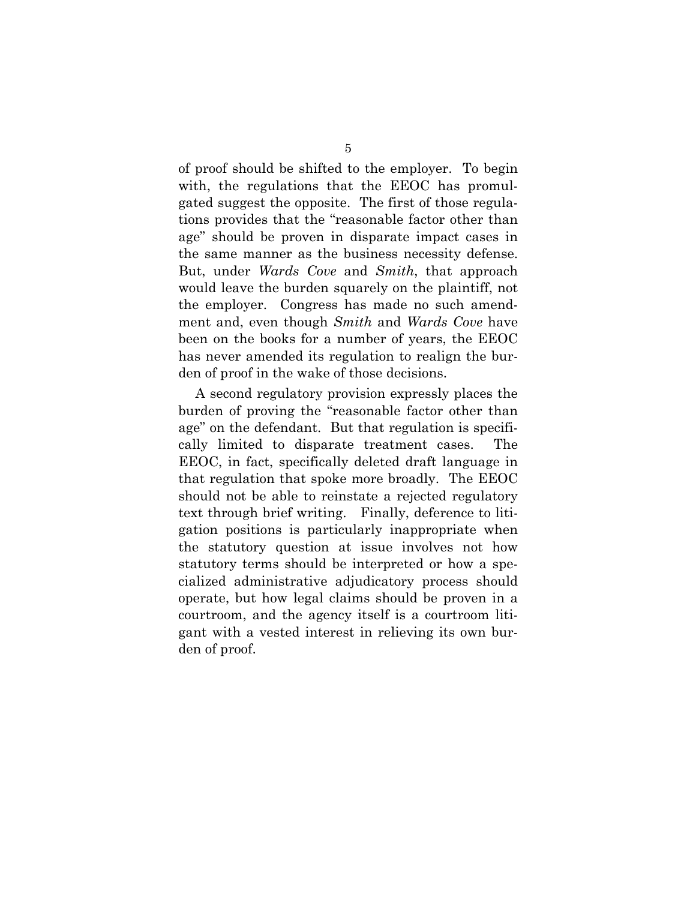of proof should be shifted to the employer. To begin with, the regulations that the EEOC has promulgated suggest the opposite. The first of those regulations provides that the "reasonable factor other than age" should be proven in disparate impact cases in the same manner as the business necessity defense. But, under *Wards Cove* and *Smith*, that approach would leave the burden squarely on the plaintiff, not the employer. Congress has made no such amendment and, even though *Smith* and *Wards Cove* have been on the books for a number of years, the EEOC has never amended its regulation to realign the burden of proof in the wake of those decisions.

A second regulatory provision expressly places the burden of proving the "reasonable factor other than age" on the defendant. But that regulation is specifically limited to disparate treatment cases. The EEOC, in fact, specifically deleted draft language in that regulation that spoke more broadly. The EEOC should not be able to reinstate a rejected regulatory text through brief writing. Finally, deference to litigation positions is particularly inappropriate when the statutory question at issue involves not how statutory terms should be interpreted or how a specialized administrative adjudicatory process should operate, but how legal claims should be proven in a courtroom, and the agency itself is a courtroom litigant with a vested interest in relieving its own burden of proof.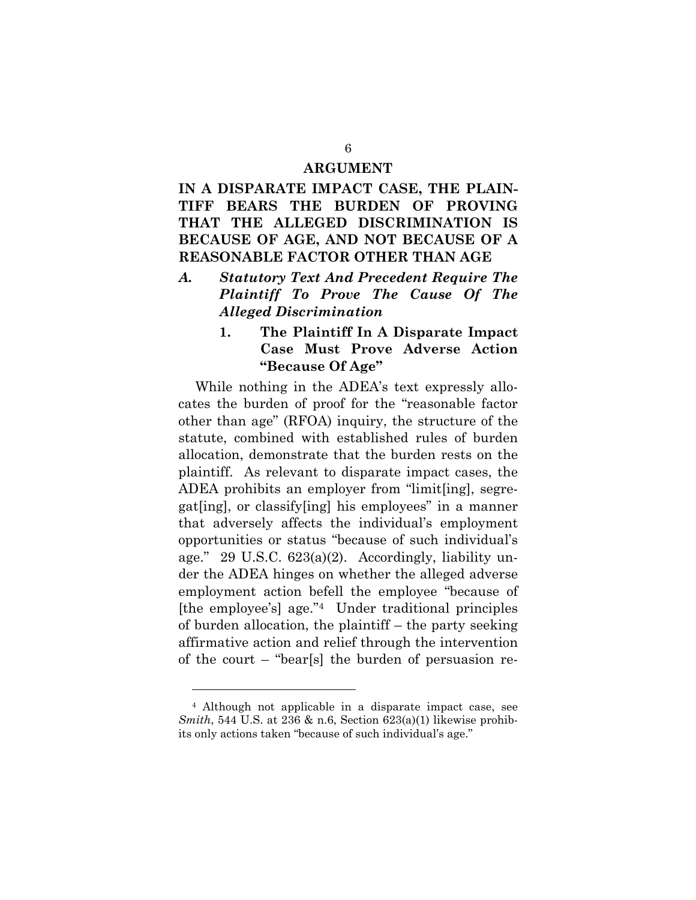#### **ARGUMENT**

# **IN A DISPARATE IMPACT CASE, THE PLAIN-TIFF BEARS THE BURDEN OF PROVING THAT THE ALLEGED DISCRIMINATION IS BECAUSE OF AGE, AND NOT BECAUSE OF A REASONABLE FACTOR OTHER THAN AGE**

- *A. Statutory Text And Precedent Require The Plaintiff To Prove The Cause Of The Alleged Discrimination* 
	- **1. The Plaintiff In A Disparate Impact Case Must Prove Adverse Action "Because Of Age"**

While nothing in the ADEA's text expressly allocates the burden of proof for the "reasonable factor other than age" (RFOA) inquiry, the structure of the statute, combined with established rules of burden allocation, demonstrate that the burden rests on the plaintiff. As relevant to disparate impact cases, the ADEA prohibits an employer from "limit[ing], segregat[ing], or classify[ing] his employees" in a manner that adversely affects the individual's employment opportunities or status "because of such individual's age." 29 U.S.C.  $623(a)(2)$ . Accordingly, liability under the ADEA hinges on whether the alleged adverse employment action befell the employee "because of [the employee's] age."4 Under traditional principles of burden allocation, the plaintiff – the party seeking affirmative action and relief through the intervention of the court – "bear[s] the burden of persuasion re-

<sup>4</sup> Although not applicable in a disparate impact case, see *Smith*, 544 U.S. at 236 & n.6, Section 623(a)(1) likewise prohibits only actions taken "because of such individual's age."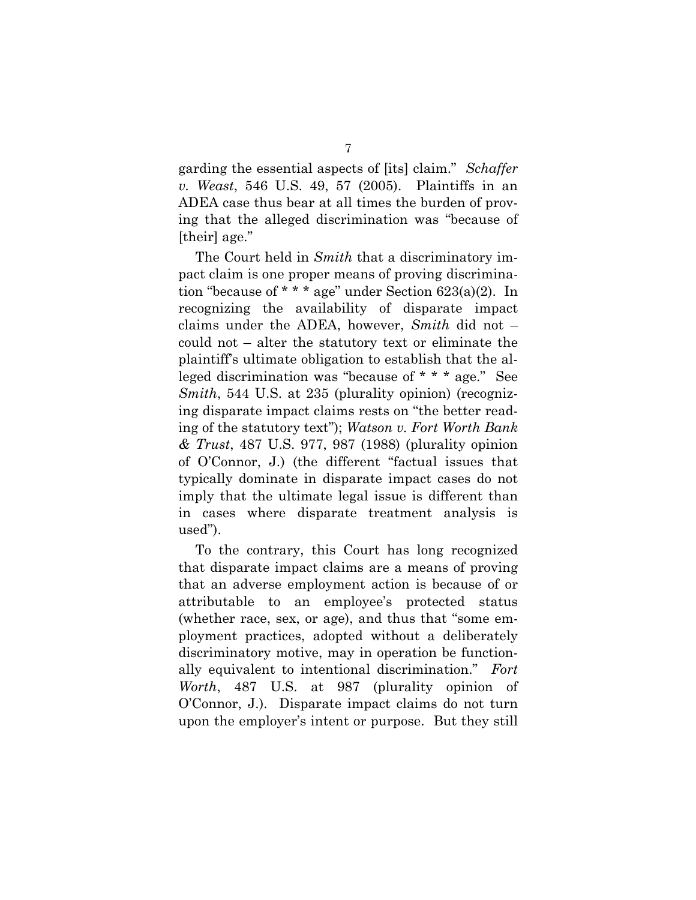garding the essential aspects of [its] claim." *Schaffer v. Weast*, 546 U.S. 49, 57 (2005). Plaintiffs in an ADEA case thus bear at all times the burden of proving that the alleged discrimination was "because of [their] age."

The Court held in *Smith* that a discriminatory impact claim is one proper means of proving discrimination "because of  $* * *$  age" under Section 623(a)(2). In recognizing the availability of disparate impact claims under the ADEA, however, *Smith* did not – could not – alter the statutory text or eliminate the plaintiff's ultimate obligation to establish that the alleged discrimination was "because of \* \* \* age." See *Smith*, 544 U.S. at 235 (plurality opinion) (recognizing disparate impact claims rests on "the better reading of the statutory text"); *Watson v. Fort Worth Bank & Trust*, 487 U.S. 977, 987 (1988) (plurality opinion of O'Connor, J.) (the different "factual issues that typically dominate in disparate impact cases do not imply that the ultimate legal issue is different than in cases where disparate treatment analysis is used").

To the contrary, this Court has long recognized that disparate impact claims are a means of proving that an adverse employment action is because of or attributable to an employee's protected status (whether race, sex, or age), and thus that "some employment practices, adopted without a deliberately discriminatory motive, may in operation be functionally equivalent to intentional discrimination." *Fort Worth*, 487 U.S. at 987 (plurality opinion of O'Connor, J.). Disparate impact claims do not turn upon the employer's intent or purpose. But they still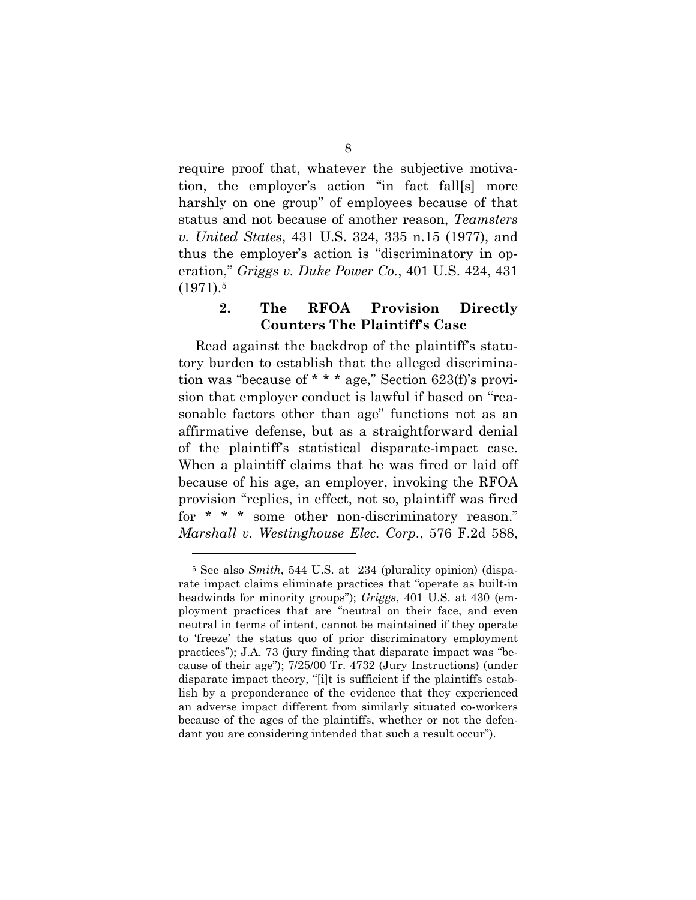require proof that, whatever the subjective motivation, the employer's action "in fact fall[s] more harshly on one group" of employees because of that status and not because of another reason, *Teamsters v. United States*, 431 U.S. 324, 335 n.15 (1977), and thus the employer's action is "discriminatory in operation," *Griggs v. Duke Power Co.*, 401 U.S. 424, 431  $(1971).5$ 

### **2. The RFOA Provision Directly Counters The Plaintiff's Case**

Read against the backdrop of the plaintiff's statutory burden to establish that the alleged discrimination was "because of \* \* \* age," Section 623(f)'s provision that employer conduct is lawful if based on "reasonable factors other than age" functions not as an affirmative defense, but as a straightforward denial of the plaintiff's statistical disparate-impact case. When a plaintiff claims that he was fired or laid off because of his age, an employer, invoking the RFOA provision "replies, in effect, not so, plaintiff was fired for \* \* \* some other non-discriminatory reason." *Marshall v. Westinghouse Elec. Corp.*, 576 F.2d 588,

<sup>5</sup> See also *Smith*, 544 U.S. at 234 (plurality opinion) (disparate impact claims eliminate practices that "operate as built-in headwinds for minority groups"); *Griggs*, 401 U.S. at 430 (employment practices that are "neutral on their face, and even neutral in terms of intent, cannot be maintained if they operate to 'freeze' the status quo of prior discriminatory employment practices"); J.A. 73 (jury finding that disparate impact was "because of their age"); 7/25/00 Tr. 4732 (Jury Instructions) (under disparate impact theory, "[i]t is sufficient if the plaintiffs establish by a preponderance of the evidence that they experienced an adverse impact different from similarly situated co-workers because of the ages of the plaintiffs, whether or not the defendant you are considering intended that such a result occur").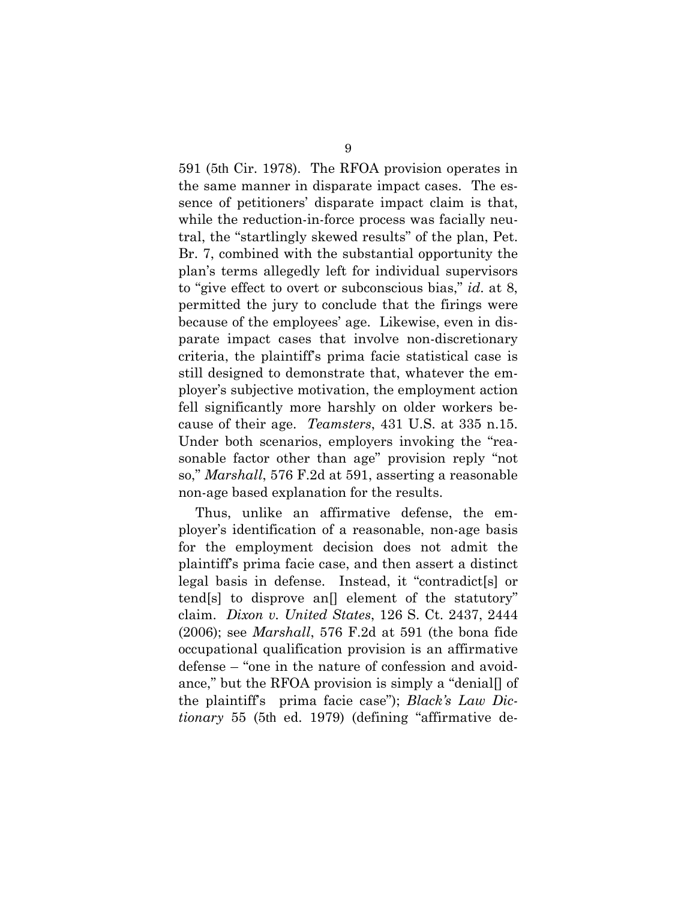591 (5th Cir. 1978). The RFOA provision operates in the same manner in disparate impact cases. The essence of petitioners' disparate impact claim is that, while the reduction-in-force process was facially neutral, the "startlingly skewed results" of the plan, Pet. Br. 7, combined with the substantial opportunity the plan's terms allegedly left for individual supervisors to "give effect to overt or subconscious bias," *id*. at 8, permitted the jury to conclude that the firings were because of the employees' age. Likewise, even in disparate impact cases that involve non-discretionary criteria, the plaintiff's prima facie statistical case is still designed to demonstrate that, whatever the employer's subjective motivation, the employment action fell significantly more harshly on older workers because of their age. *Teamsters*, 431 U.S. at 335 n.15. Under both scenarios, employers invoking the "reasonable factor other than age" provision reply "not so," *Marshall*, 576 F.2d at 591, asserting a reasonable non-age based explanation for the results.

Thus, unlike an affirmative defense, the employer's identification of a reasonable, non-age basis for the employment decision does not admit the plaintiff's prima facie case, and then assert a distinct legal basis in defense. Instead, it "contradict[s] or tend[s] to disprove an[] element of the statutory" claim. *Dixon v. United States*, 126 S. Ct. 2437, 2444 (2006); see *Marshall*, 576 F.2d at 591 (the bona fide occupational qualification provision is an affirmative defense – "one in the nature of confession and avoidance," but the RFOA provision is simply a "denial[] of the plaintiff's prima facie case"); *Black's Law Dictionary* 55 (5th ed. 1979) (defining "affirmative de-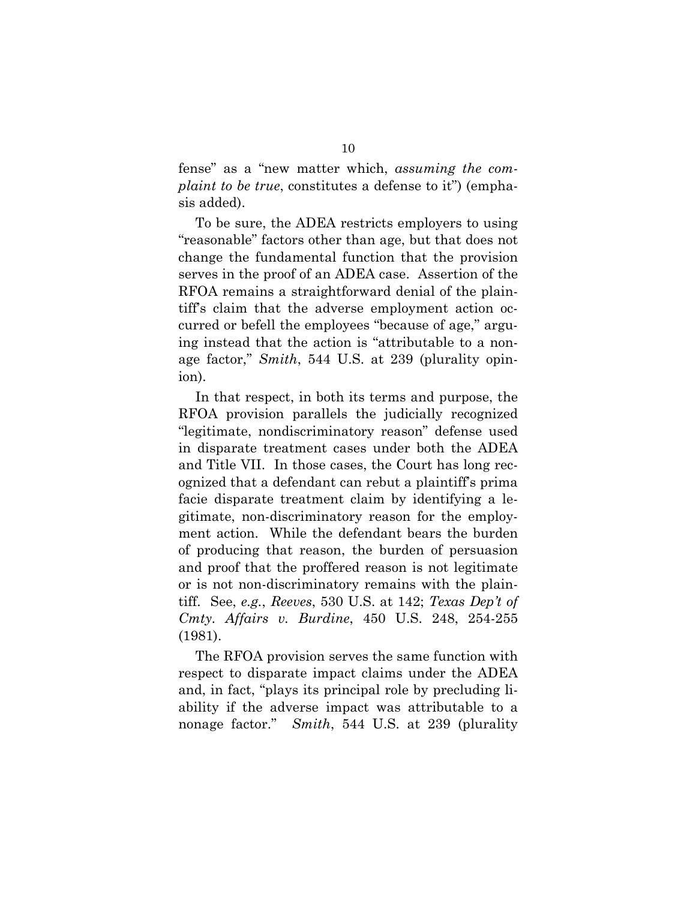fense" as a "new matter which, *assuming the complaint to be true*, constitutes a defense to it") (emphasis added).

To be sure, the ADEA restricts employers to using "reasonable" factors other than age, but that does not change the fundamental function that the provision serves in the proof of an ADEA case. Assertion of the RFOA remains a straightforward denial of the plaintiff's claim that the adverse employment action occurred or befell the employees "because of age," arguing instead that the action is "attributable to a nonage factor," *Smith*, 544 U.S. at 239 (plurality opinion).

In that respect, in both its terms and purpose, the RFOA provision parallels the judicially recognized "legitimate, nondiscriminatory reason" defense used in disparate treatment cases under both the ADEA and Title VII. In those cases, the Court has long recognized that a defendant can rebut a plaintiff's prima facie disparate treatment claim by identifying a legitimate, non-discriminatory reason for the employment action. While the defendant bears the burden of producing that reason, the burden of persuasion and proof that the proffered reason is not legitimate or is not non-discriminatory remains with the plaintiff. See, *e.g.*, *Reeves*, 530 U.S. at 142; *Texas Dep't of Cmty. Affairs v. Burdine*, 450 U.S. 248, 254-255 (1981).

The RFOA provision serves the same function with respect to disparate impact claims under the ADEA and, in fact, "plays its principal role by precluding liability if the adverse impact was attributable to a nonage factor." *Smith*, 544 U.S. at 239 (plurality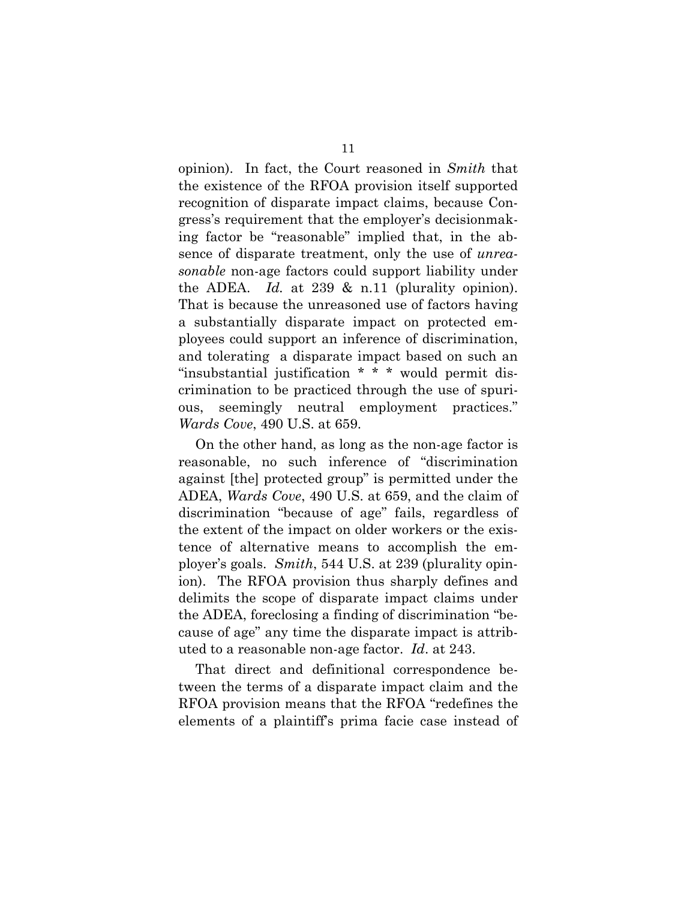opinion). In fact, the Court reasoned in *Smith* that the existence of the RFOA provision itself supported recognition of disparate impact claims, because Congress's requirement that the employer's decisionmaking factor be "reasonable" implied that, in the absence of disparate treatment, only the use of *unreasonable* non-age factors could support liability under the ADEA. *Id.* at 239 & n.11 (plurality opinion). That is because the unreasoned use of factors having a substantially disparate impact on protected employees could support an inference of discrimination, and tolerating a disparate impact based on such an "insubstantial justification \* \* \* would permit discrimination to be practiced through the use of spurious, seemingly neutral employment practices." *Wards Cove*, 490 U.S. at 659.

On the other hand, as long as the non-age factor is reasonable, no such inference of "discrimination against [the] protected group" is permitted under the ADEA, *Wards Cove*, 490 U.S. at 659, and the claim of discrimination "because of age" fails, regardless of the extent of the impact on older workers or the existence of alternative means to accomplish the employer's goals. *Smith*, 544 U.S. at 239 (plurality opinion). The RFOA provision thus sharply defines and delimits the scope of disparate impact claims under the ADEA, foreclosing a finding of discrimination "because of age" any time the disparate impact is attributed to a reasonable non-age factor. *Id*. at 243.

That direct and definitional correspondence between the terms of a disparate impact claim and the RFOA provision means that the RFOA "redefines the elements of a plaintiff's prima facie case instead of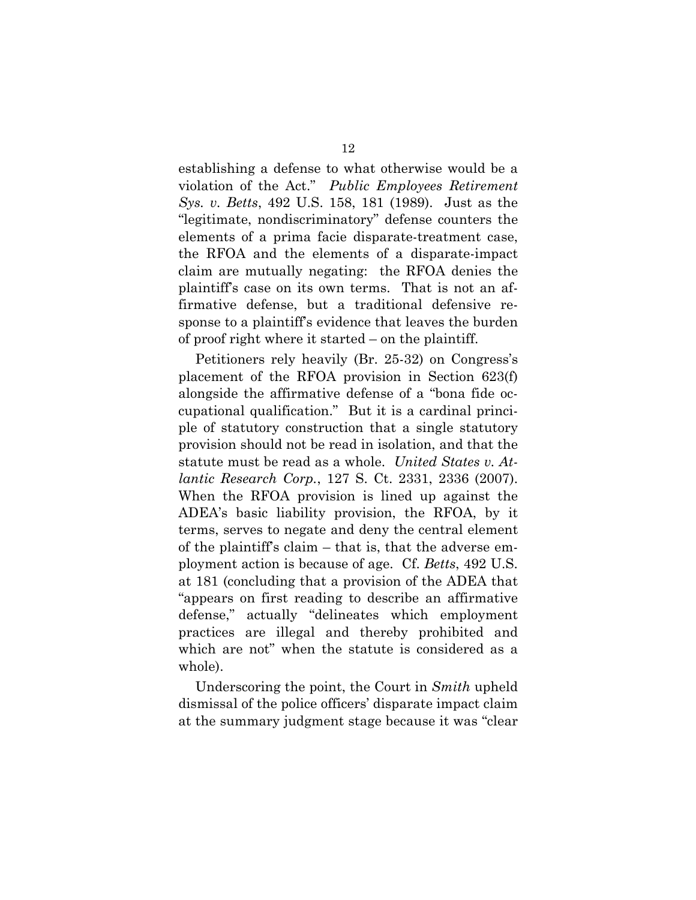establishing a defense to what otherwise would be a violation of the Act." *Public Employees Retirement Sys. v. Betts*, 492 U.S. 158, 181 (1989). Just as the "legitimate, nondiscriminatory" defense counters the elements of a prima facie disparate-treatment case, the RFOA and the elements of a disparate-impact claim are mutually negating: the RFOA denies the plaintiff's case on its own terms. That is not an affirmative defense, but a traditional defensive response to a plaintiff's evidence that leaves the burden of proof right where it started – on the plaintiff.

Petitioners rely heavily (Br. 25-32) on Congress's placement of the RFOA provision in Section 623(f) alongside the affirmative defense of a "bona fide occupational qualification." But it is a cardinal principle of statutory construction that a single statutory provision should not be read in isolation, and that the statute must be read as a whole. *United States v. Atlantic Research Corp.*, 127 S. Ct. 2331, 2336 (2007). When the RFOA provision is lined up against the ADEA's basic liability provision, the RFOA, by it terms, serves to negate and deny the central element of the plaintiff's claim – that is, that the adverse employment action is because of age. Cf. *Betts*, 492 U.S. at 181 (concluding that a provision of the ADEA that "appears on first reading to describe an affirmative defense," actually "delineates which employment practices are illegal and thereby prohibited and which are not" when the statute is considered as a whole).

Underscoring the point, the Court in *Smith* upheld dismissal of the police officers' disparate impact claim at the summary judgment stage because it was "clear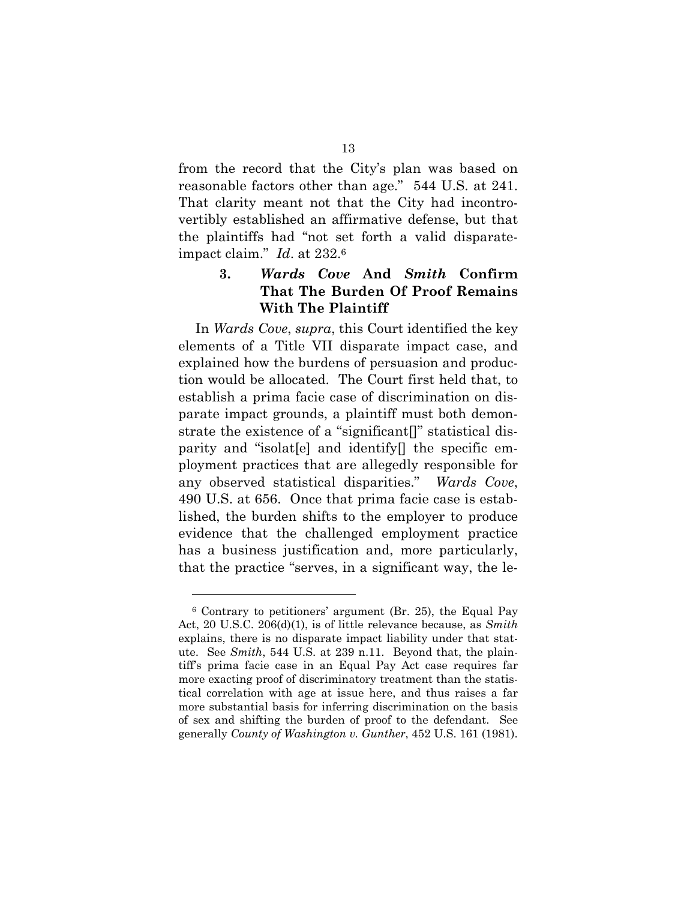from the record that the City's plan was based on reasonable factors other than age." 544 U.S. at 241. That clarity meant not that the City had incontrovertibly established an affirmative defense, but that the plaintiffs had "not set forth a valid disparateimpact claim." *Id*. at 232.6

# **3.** *Wards Cove* **And** *Smith* **Confirm That The Burden Of Proof Remains With The Plaintiff**

In *Wards Cove*, *supra*, this Court identified the key elements of a Title VII disparate impact case, and explained how the burdens of persuasion and production would be allocated. The Court first held that, to establish a prima facie case of discrimination on disparate impact grounds, a plaintiff must both demonstrate the existence of a "significant[]" statistical disparity and "isolat[e] and identify[] the specific employment practices that are allegedly responsible for any observed statistical disparities." *Wards Cove*, 490 U.S. at 656. Once that prima facie case is established, the burden shifts to the employer to produce evidence that the challenged employment practice has a business justification and, more particularly, that the practice "serves, in a significant way, the le-

<sup>6</sup> Contrary to petitioners' argument (Br. 25), the Equal Pay Act, 20 U.S.C. 206(d)(1), is of little relevance because, as *Smith* explains, there is no disparate impact liability under that statute. See *Smith*, 544 U.S. at 239 n.11. Beyond that, the plaintiff's prima facie case in an Equal Pay Act case requires far more exacting proof of discriminatory treatment than the statistical correlation with age at issue here, and thus raises a far more substantial basis for inferring discrimination on the basis of sex and shifting the burden of proof to the defendant. See generally *County of Washington v. Gunther*, 452 U.S. 161 (1981).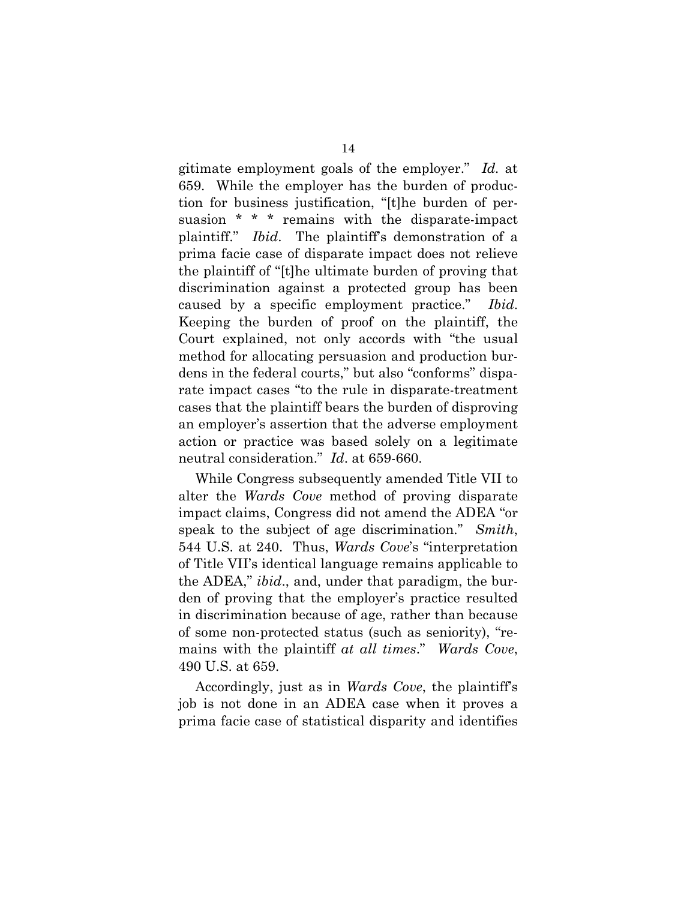gitimate employment goals of the employer." *Id.* at 659. While the employer has the burden of production for business justification, "[t]he burden of persuasion \* \* \* remains with the disparate-impact plaintiff." *Ibid*. The plaintiff's demonstration of a prima facie case of disparate impact does not relieve the plaintiff of "[t]he ultimate burden of proving that discrimination against a protected group has been caused by a specific employment practice." *Ibid*. Keeping the burden of proof on the plaintiff, the Court explained, not only accords with "the usual method for allocating persuasion and production burdens in the federal courts," but also "conforms" disparate impact cases "to the rule in disparate-treatment cases that the plaintiff bears the burden of disproving an employer's assertion that the adverse employment action or practice was based solely on a legitimate neutral consideration." *Id*. at 659-660.

While Congress subsequently amended Title VII to alter the *Wards Cove* method of proving disparate impact claims, Congress did not amend the ADEA "or speak to the subject of age discrimination." *Smith*, 544 U.S. at 240. Thus, *Wards Cove*'s "interpretation of Title VII's identical language remains applicable to the ADEA," *ibid*., and, under that paradigm, the burden of proving that the employer's practice resulted in discrimination because of age, rather than because of some non-protected status (such as seniority), "remains with the plaintiff *at all times*." *Wards Cove*, 490 U.S. at 659.

Accordingly, just as in *Wards Cove*, the plaintiff's job is not done in an ADEA case when it proves a prima facie case of statistical disparity and identifies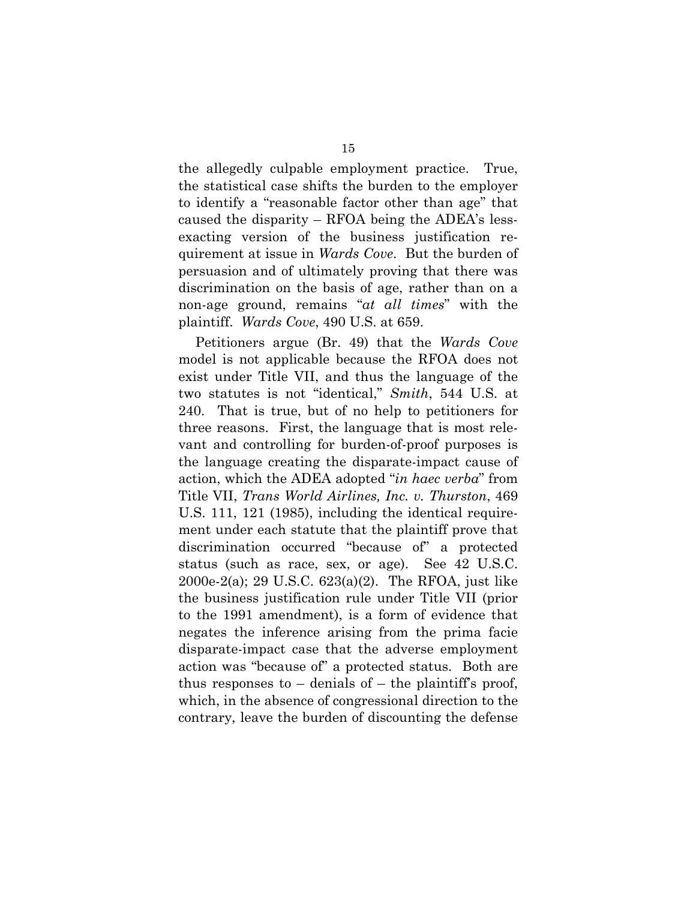the allegedly culpable employment practice. True, the statistical case shifts the burden to the employer to identify a "reasonable factor other than age" that caused the disparity – RFOA being the ADEA's lessexacting version of the business justification requirement at issue in *Wards Cove*. But the burden of persuasion and of ultimately proving that there was discrimination on the basis of age, rather than on a non-age ground, remains "*at all times*" with the plaintiff. *Wards Cove*, 490 U.S. at 659.

Petitioners argue (Br. 49) that the *Wards Cove* model is not applicable because the RFOA does not exist under Title VII, and thus the language of the two statutes is not "identical," *Smith*, 544 U.S. at 240. That is true, but of no help to petitioners for three reasons. First, the language that is most relevant and controlling for burden-of-proof purposes is the language creating the disparate-impact cause of action, which the ADEA adopted "*in haec verba*" from Title VII, *Trans World Airlines, Inc. v. Thurston*, 469 U.S. 111, 121 (1985), including the identical requirement under each statute that the plaintiff prove that discrimination occurred "because of" a protected status (such as race, sex, or age). See 42 U.S.C. 2000e-2(a); 29 U.S.C. 623(a)(2). The RFOA, just like the business justification rule under Title VII (prior to the 1991 amendment), is a form of evidence that negates the inference arising from the prima facie disparate-impact case that the adverse employment action was "because of" a protected status. Both are thus responses to  $-$  denials of  $-$  the plaintiff's proof, which, in the absence of congressional direction to the contrary, leave the burden of discounting the defense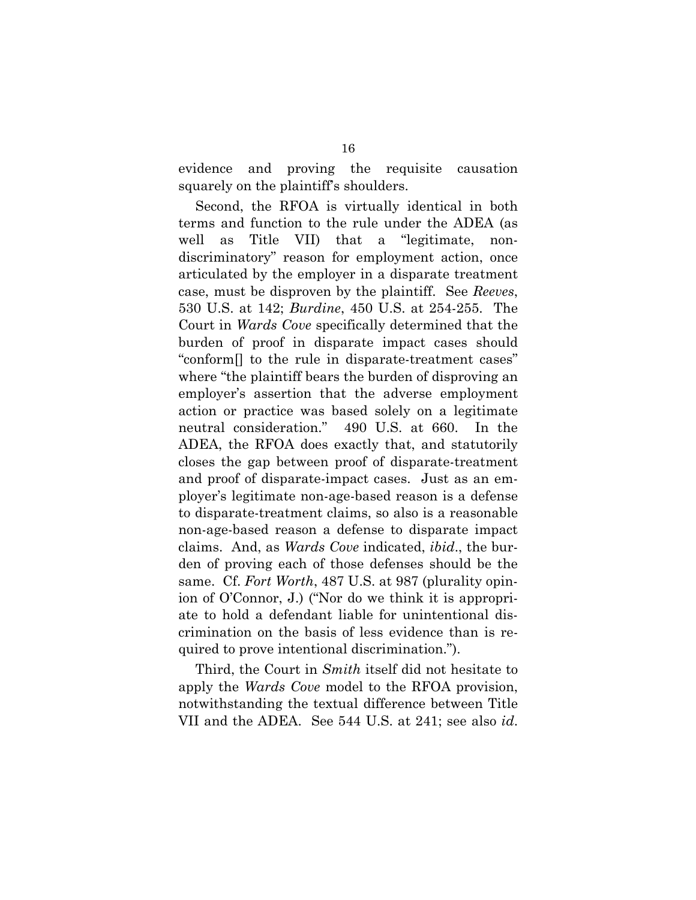evidence and proving the requisite causation squarely on the plaintiff's shoulders.

Second, the RFOA is virtually identical in both terms and function to the rule under the ADEA (as well as Title VII) that a "legitimate, nondiscriminatory" reason for employment action, once articulated by the employer in a disparate treatment case, must be disproven by the plaintiff. See *Reeves*, 530 U.S. at 142; *Burdine*, 450 U.S. at 254-255. The Court in *Wards Cove* specifically determined that the burden of proof in disparate impact cases should "conform[] to the rule in disparate-treatment cases" where "the plaintiff bears the burden of disproving an employer's assertion that the adverse employment action or practice was based solely on a legitimate neutral consideration." 490 U.S. at 660. In the ADEA, the RFOA does exactly that, and statutorily closes the gap between proof of disparate-treatment and proof of disparate-impact cases. Just as an employer's legitimate non-age-based reason is a defense to disparate-treatment claims, so also is a reasonable non-age-based reason a defense to disparate impact claims. And, as *Wards Cove* indicated, *ibid*., the burden of proving each of those defenses should be the same. Cf. *Fort Worth*, 487 U.S. at 987 (plurality opinion of O'Connor, J.) ("Nor do we think it is appropriate to hold a defendant liable for unintentional discrimination on the basis of less evidence than is required to prove intentional discrimination.").

Third, the Court in *Smith* itself did not hesitate to apply the *Wards Cove* model to the RFOA provision, notwithstanding the textual difference between Title VII and the ADEA. See 544 U.S. at 241; see also *id*.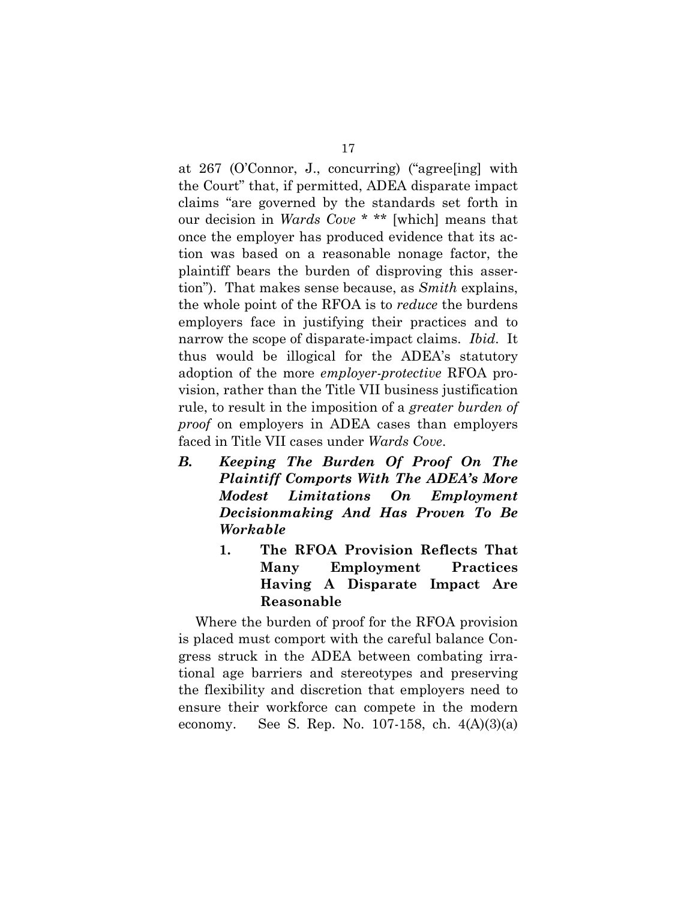at 267 (O'Connor, J., concurring) ("agree[ing] with the Court" that, if permitted, ADEA disparate impact claims "are governed by the standards set forth in our decision in *Wards Cove* \* \*\* [which] means that once the employer has produced evidence that its action was based on a reasonable nonage factor, the plaintiff bears the burden of disproving this assertion"). That makes sense because, as *Smith* explains, the whole point of the RFOA is to *reduce* the burdens employers face in justifying their practices and to narrow the scope of disparate-impact claims. *Ibid*. It thus would be illogical for the ADEA's statutory adoption of the more *employer-protective* RFOA provision, rather than the Title VII business justification rule, to result in the imposition of a *greater burden of proof* on employers in ADEA cases than employers faced in Title VII cases under *Wards Cove*.

- *B. Keeping The Burden Of Proof On The Plaintiff Comports With The ADEA's More Modest Limitations On Employment Decisionmaking And Has Proven To Be Workable* 
	- **1. The RFOA Provision Reflects That Many Employment Practices Having A Disparate Impact Are Reasonable**

Where the burden of proof for the RFOA provision is placed must comport with the careful balance Congress struck in the ADEA between combating irrational age barriers and stereotypes and preserving the flexibility and discretion that employers need to ensure their workforce can compete in the modern economy. See S. Rep. No. 107-158, ch. 4(A)(3)(a)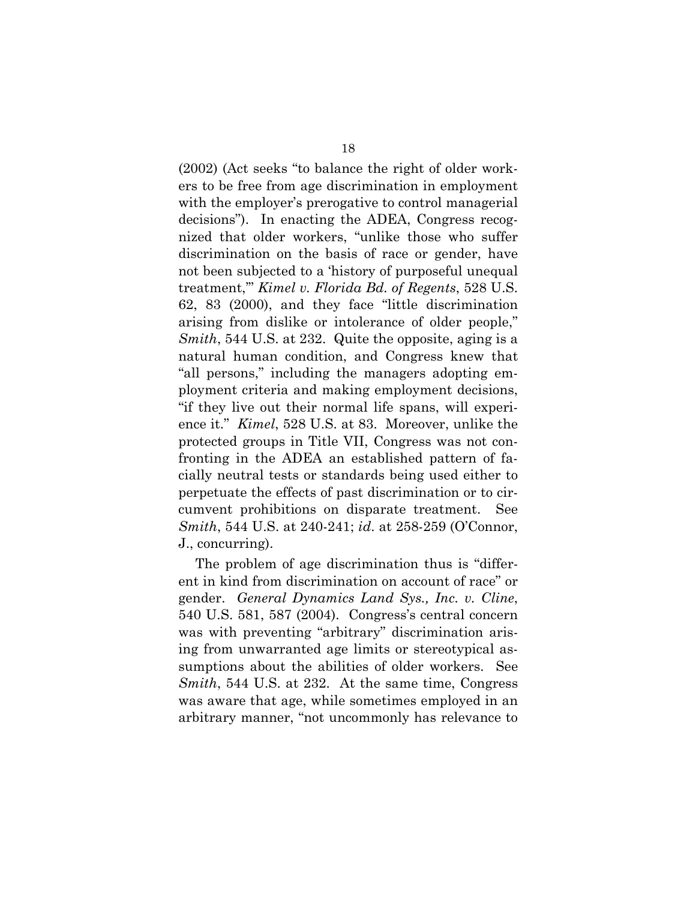(2002) (Act seeks "to balance the right of older workers to be free from age discrimination in employment with the employer's prerogative to control managerial decisions"). In enacting the ADEA, Congress recognized that older workers, "unlike those who suffer discrimination on the basis of race or gender, have not been subjected to a 'history of purposeful unequal treatment,'" *Kimel v. Florida Bd. of Regents*, 528 U.S. 62, 83 (2000), and they face "little discrimination arising from dislike or intolerance of older people," *Smith*, 544 U.S. at 232. Quite the opposite, aging is a natural human condition, and Congress knew that "all persons," including the managers adopting employment criteria and making employment decisions, "if they live out their normal life spans, will experience it." *Kimel*, 528 U.S. at 83. Moreover, unlike the protected groups in Title VII, Congress was not confronting in the ADEA an established pattern of facially neutral tests or standards being used either to perpetuate the effects of past discrimination or to circumvent prohibitions on disparate treatment. See *Smith*, 544 U.S. at 240-241; *id*. at 258-259 (O'Connor, J., concurring).

The problem of age discrimination thus is "different in kind from discrimination on account of race" or gender. *General Dynamics Land Sys., Inc. v. Cline*, 540 U.S. 581, 587 (2004). Congress's central concern was with preventing "arbitrary" discrimination arising from unwarranted age limits or stereotypical assumptions about the abilities of older workers. See *Smith*, 544 U.S. at 232. At the same time, Congress was aware that age, while sometimes employed in an arbitrary manner, "not uncommonly has relevance to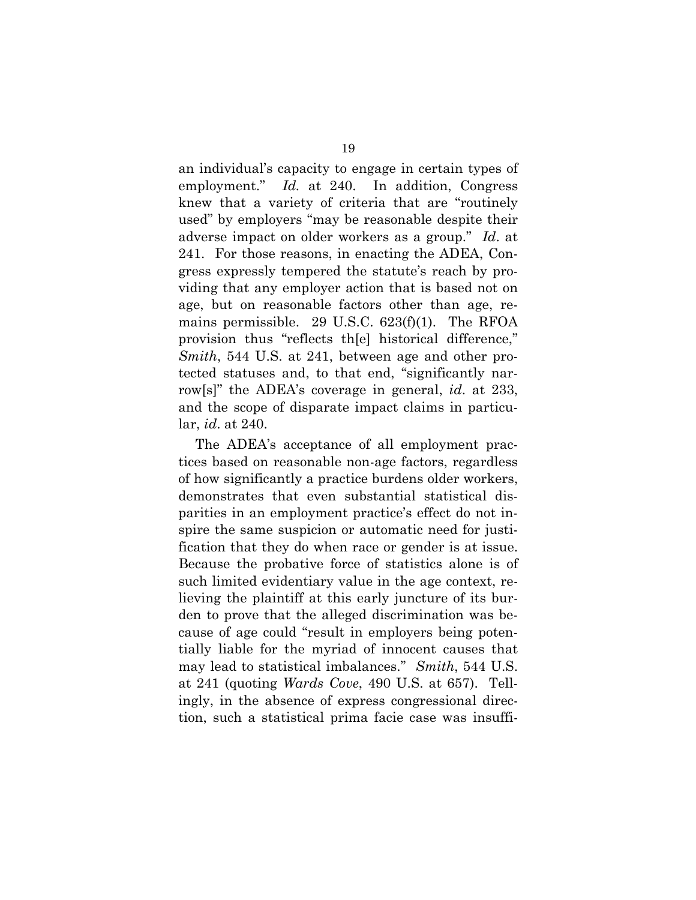an individual's capacity to engage in certain types of employment." *Id.* at 240. In addition, Congress knew that a variety of criteria that are "routinely used" by employers "may be reasonable despite their adverse impact on older workers as a group." *Id*. at 241. For those reasons, in enacting the ADEA, Congress expressly tempered the statute's reach by providing that any employer action that is based not on age, but on reasonable factors other than age, remains permissible. 29 U.S.C. 623(f)(1). The RFOA provision thus "reflects th[e] historical difference," *Smith*, 544 U.S. at 241, between age and other protected statuses and, to that end, "significantly narrow[s]" the ADEA's coverage in general, *id*. at 233, and the scope of disparate impact claims in particular, *id*. at 240.

The ADEA's acceptance of all employment practices based on reasonable non-age factors, regardless of how significantly a practice burdens older workers, demonstrates that even substantial statistical disparities in an employment practice's effect do not inspire the same suspicion or automatic need for justification that they do when race or gender is at issue. Because the probative force of statistics alone is of such limited evidentiary value in the age context, relieving the plaintiff at this early juncture of its burden to prove that the alleged discrimination was because of age could "result in employers being potentially liable for the myriad of innocent causes that may lead to statistical imbalances." *Smith*, 544 U.S. at 241 (quoting *Wards Cove*, 490 U.S. at 657). Tellingly, in the absence of express congressional direction, such a statistical prima facie case was insuffi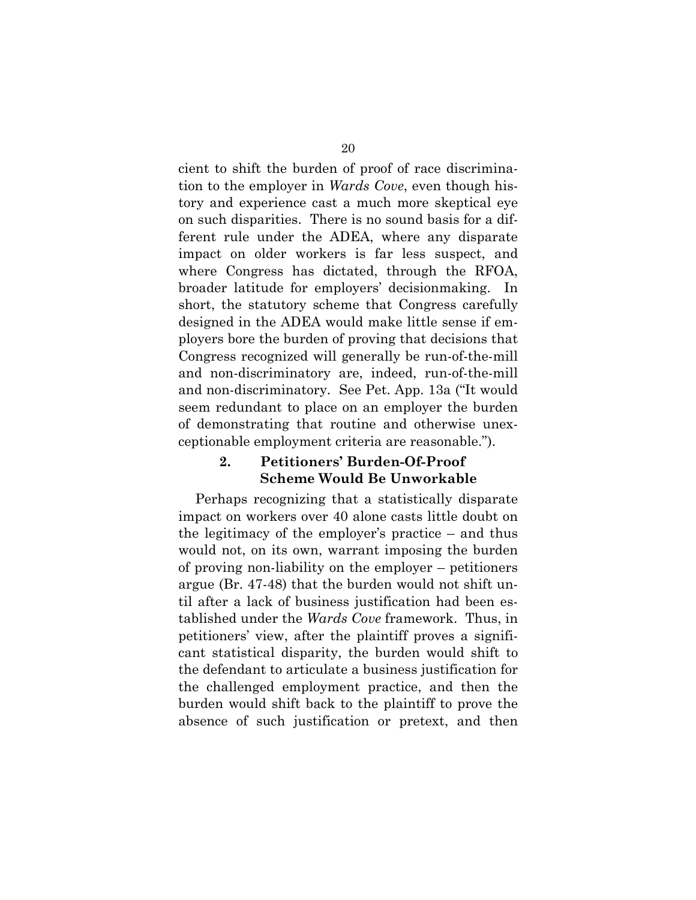cient to shift the burden of proof of race discrimination to the employer in *Wards Cove*, even though history and experience cast a much more skeptical eye on such disparities. There is no sound basis for a different rule under the ADEA, where any disparate impact on older workers is far less suspect, and where Congress has dictated, through the RFOA, broader latitude for employers' decisionmaking. In short, the statutory scheme that Congress carefully designed in the ADEA would make little sense if employers bore the burden of proving that decisions that Congress recognized will generally be run-of-the-mill and non-discriminatory are, indeed, run-of-the-mill and non-discriminatory. See Pet. App. 13a ("It would seem redundant to place on an employer the burden of demonstrating that routine and otherwise unexceptionable employment criteria are reasonable.").

### **2. Petitioners' Burden-Of-Proof Scheme Would Be Unworkable**

Perhaps recognizing that a statistically disparate impact on workers over 40 alone casts little doubt on the legitimacy of the employer's practice – and thus would not, on its own, warrant imposing the burden of proving non-liability on the employer – petitioners argue (Br. 47-48) that the burden would not shift until after a lack of business justification had been established under the *Wards Cove* framework. Thus, in petitioners' view, after the plaintiff proves a significant statistical disparity, the burden would shift to the defendant to articulate a business justification for the challenged employment practice, and then the burden would shift back to the plaintiff to prove the absence of such justification or pretext, and then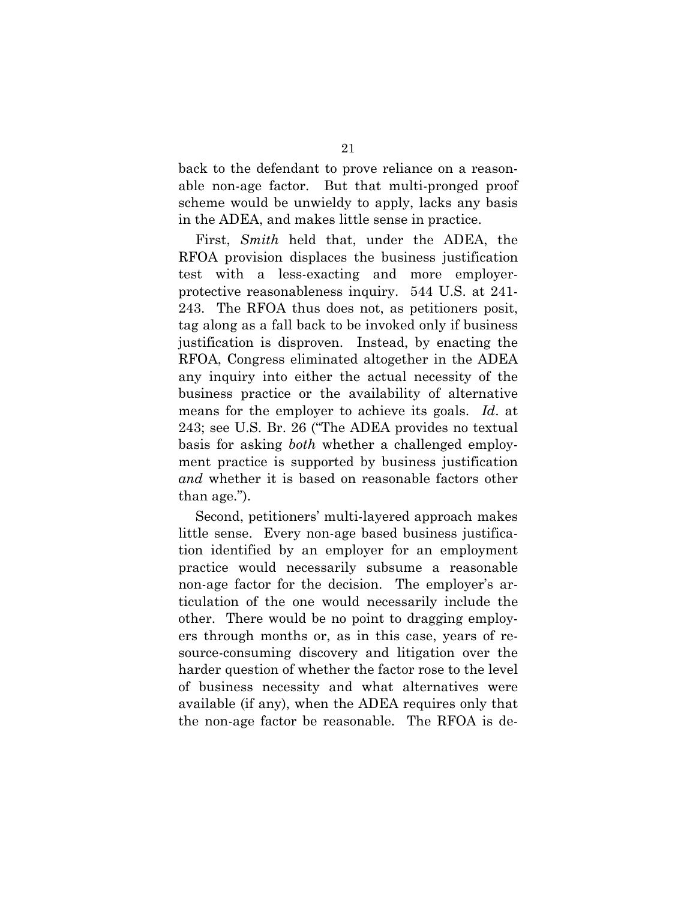back to the defendant to prove reliance on a reasonable non-age factor. But that multi-pronged proof scheme would be unwieldy to apply, lacks any basis in the ADEA, and makes little sense in practice.

First, *Smith* held that, under the ADEA, the RFOA provision displaces the business justification test with a less-exacting and more employerprotective reasonableness inquiry. 544 U.S. at 241- 243. The RFOA thus does not, as petitioners posit, tag along as a fall back to be invoked only if business justification is disproven. Instead, by enacting the RFOA, Congress eliminated altogether in the ADEA any inquiry into either the actual necessity of the business practice or the availability of alternative means for the employer to achieve its goals. *Id*. at 243; see U.S. Br. 26 ("The ADEA provides no textual basis for asking *both* whether a challenged employment practice is supported by business justification *and* whether it is based on reasonable factors other than age.").

Second, petitioners' multi-layered approach makes little sense. Every non-age based business justification identified by an employer for an employment practice would necessarily subsume a reasonable non-age factor for the decision. The employer's articulation of the one would necessarily include the other. There would be no point to dragging employers through months or, as in this case, years of resource-consuming discovery and litigation over the harder question of whether the factor rose to the level of business necessity and what alternatives were available (if any), when the ADEA requires only that the non-age factor be reasonable. The RFOA is de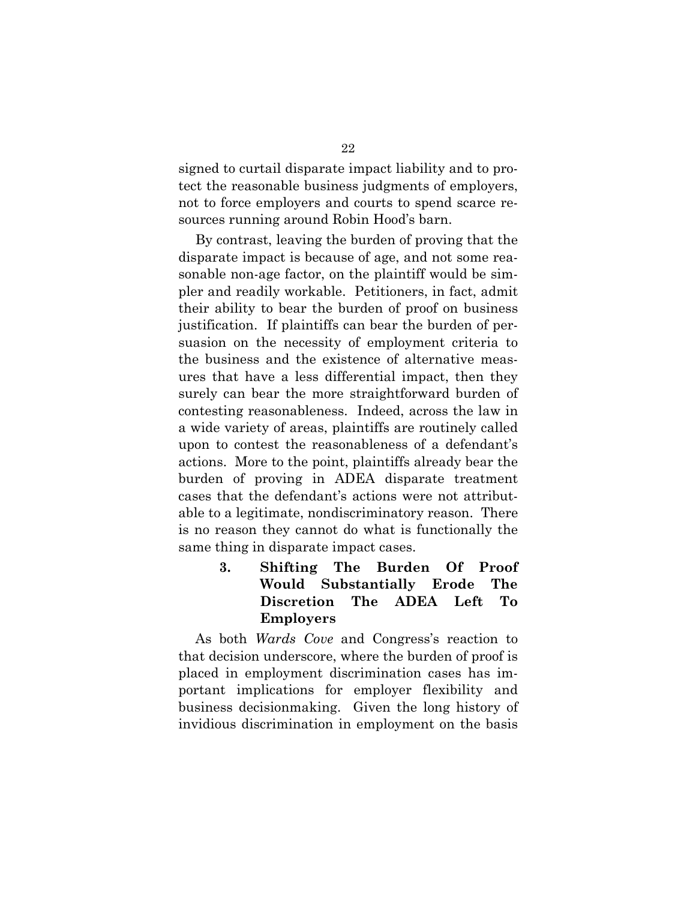signed to curtail disparate impact liability and to protect the reasonable business judgments of employers, not to force employers and courts to spend scarce resources running around Robin Hood's barn.

By contrast, leaving the burden of proving that the disparate impact is because of age, and not some reasonable non-age factor, on the plaintiff would be simpler and readily workable. Petitioners, in fact, admit their ability to bear the burden of proof on business justification. If plaintiffs can bear the burden of persuasion on the necessity of employment criteria to the business and the existence of alternative measures that have a less differential impact, then they surely can bear the more straightforward burden of contesting reasonableness. Indeed, across the law in a wide variety of areas, plaintiffs are routinely called upon to contest the reasonableness of a defendant's actions. More to the point, plaintiffs already bear the burden of proving in ADEA disparate treatment cases that the defendant's actions were not attributable to a legitimate, nondiscriminatory reason. There is no reason they cannot do what is functionally the same thing in disparate impact cases.

> **3. Shifting The Burden Of Proof Would Substantially Erode The Discretion The ADEA Left To Employers**

As both *Wards Cove* and Congress's reaction to that decision underscore, where the burden of proof is placed in employment discrimination cases has important implications for employer flexibility and business decisionmaking. Given the long history of invidious discrimination in employment on the basis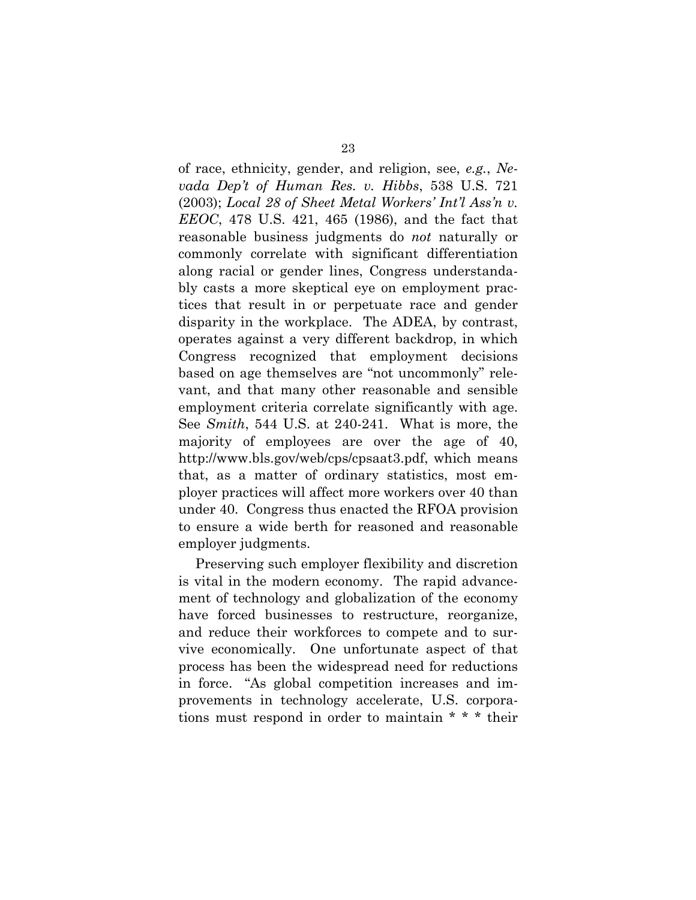of race, ethnicity, gender, and religion, see, *e.g.*, *Nevada Dep't of Human Res. v. Hibbs*, 538 U.S. 721 (2003); *Local 28 of Sheet Metal Workers' Int'l Ass'n v. EEOC*, 478 U.S. 421, 465 (1986), and the fact that reasonable business judgments do *not* naturally or commonly correlate with significant differentiation along racial or gender lines, Congress understandably casts a more skeptical eye on employment practices that result in or perpetuate race and gender disparity in the workplace. The ADEA, by contrast, operates against a very different backdrop, in which Congress recognized that employment decisions based on age themselves are "not uncommonly" relevant, and that many other reasonable and sensible employment criteria correlate significantly with age. See *Smith*, 544 U.S. at 240-241. What is more, the majority of employees are over the age of 40, http://www.bls.gov/web/cps/cpsaat3.pdf, which means that, as a matter of ordinary statistics, most employer practices will affect more workers over 40 than under 40. Congress thus enacted the RFOA provision to ensure a wide berth for reasoned and reasonable employer judgments.

Preserving such employer flexibility and discretion is vital in the modern economy. The rapid advancement of technology and globalization of the economy have forced businesses to restructure, reorganize, and reduce their workforces to compete and to survive economically. One unfortunate aspect of that process has been the widespread need for reductions in force. "As global competition increases and improvements in technology accelerate, U.S. corporations must respond in order to maintain \* \* \* their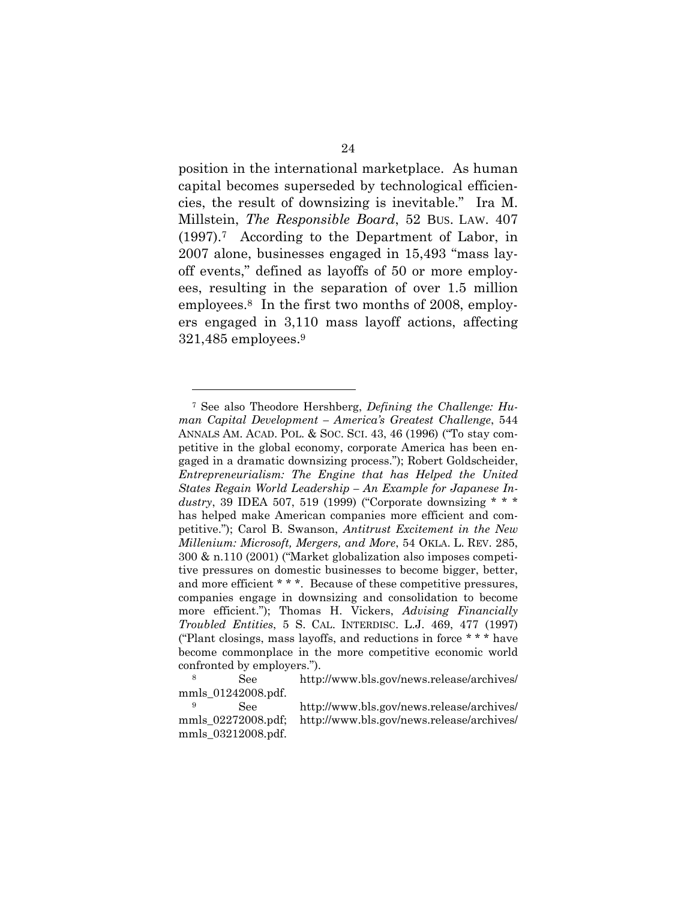position in the international marketplace. As human capital becomes superseded by technological efficiencies, the result of downsizing is inevitable." Ira M. Millstein, *The Responsible Board*, 52 BUS. LAW. 407 (1997).7 According to the Department of Labor, in 2007 alone, businesses engaged in 15,493 "mass layoff events," defined as layoffs of 50 or more employees, resulting in the separation of over 1.5 million employees.8 In the first two months of 2008, employers engaged in 3,110 mass layoff actions, affecting 321,485 employees.9

<sup>7</sup> See also Theodore Hershberg, *Defining the Challenge: Human Capital Development – America's Greatest Challenge*, 544 ANNALS AM. ACAD. POL. & SOC. SCI. 43, 46 (1996) ("To stay competitive in the global economy, corporate America has been engaged in a dramatic downsizing process."); Robert Goldscheider, *Entrepreneurialism: The Engine that has Helped the United States Regain World Leadership – An Example for Japanese Industry*, 39 IDEA 507, 519 (1999) ("Corporate downsizing \* \* \* has helped make American companies more efficient and competitive."); Carol B. Swanson, *Antitrust Excitement in the New Millenium: Microsoft, Mergers, and More*, 54 OKLA. L. REV. 285, 300 & n.110 (2001) ("Market globalization also imposes competitive pressures on domestic businesses to become bigger, better, and more efficient \* \* \*. Because of these competitive pressures, companies engage in downsizing and consolidation to become more efficient."); Thomas H. Vickers, *Advising Financially Troubled Entities*, 5 S. CAL. INTERDISC. L.J. 469, 477 (1997) ("Plant closings, mass layoffs, and reductions in force \* \* \* have become commonplace in the more competitive economic world confronted by employers.").

<sup>8</sup> See http://www.bls.gov/news.release/archives/ mmls\_01242008.pdf.

<sup>9</sup> See http://www.bls.gov/news.release/archives/ mmls\_02272008.pdf; http://www.bls.gov/news.release/archives/ mmls\_03212008.pdf.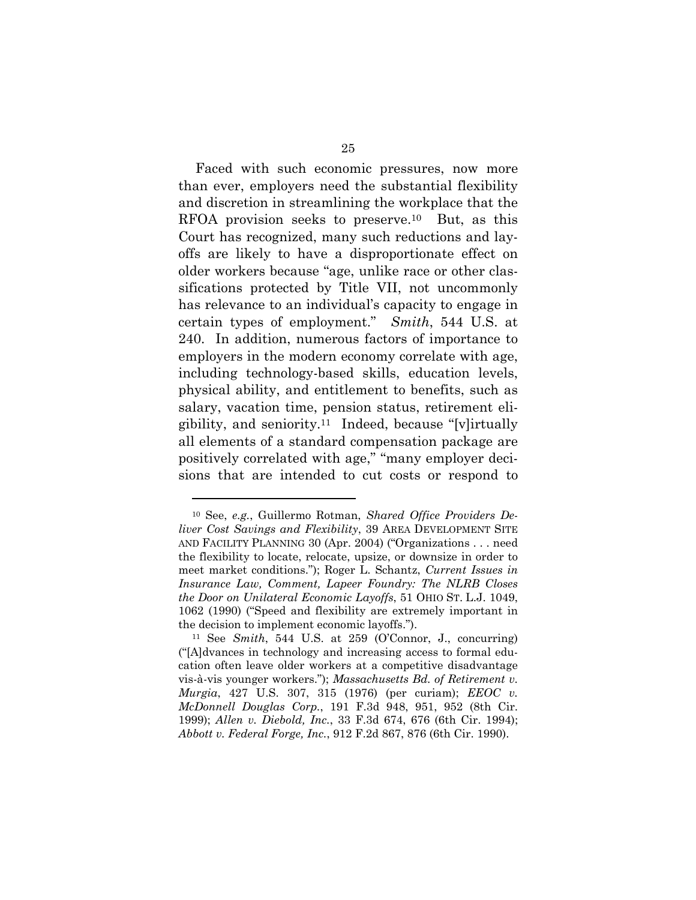Faced with such economic pressures, now more than ever, employers need the substantial flexibility and discretion in streamlining the workplace that the RFOA provision seeks to preserve.10 But, as this Court has recognized, many such reductions and layoffs are likely to have a disproportionate effect on older workers because "age, unlike race or other classifications protected by Title VII, not uncommonly has relevance to an individual's capacity to engage in certain types of employment." *Smith*, 544 U.S. at 240. In addition, numerous factors of importance to employers in the modern economy correlate with age, including technology-based skills, education levels, physical ability, and entitlement to benefits, such as salary, vacation time, pension status, retirement eligibility, and seniority.11 Indeed, because "[v]irtually all elements of a standard compensation package are positively correlated with age," "many employer decisions that are intended to cut costs or respond to

<sup>10</sup> See, *e.g.*, Guillermo Rotman, *Shared Office Providers Deliver Cost Savings and Flexibility*, 39 AREA DEVELOPMENT SITE AND FACILITY PLANNING 30 (Apr. 2004) ("Organizations . . . need the flexibility to locate, relocate, upsize, or downsize in order to meet market conditions."); Roger L. Schantz, *Current Issues in Insurance Law, Comment, Lapeer Foundry: The NLRB Closes the Door on Unilateral Economic Layoffs*, 51 OHIO ST. L.J. 1049, 1062 (1990) ("Speed and flexibility are extremely important in the decision to implement economic layoffs."). 11 See *Smith*, 544 U.S. at 259 (O'Connor, J., concurring)

<sup>(&</sup>quot;[A]dvances in technology and increasing access to formal education often leave older workers at a competitive disadvantage vis-à-vis younger workers."); *Massachusetts Bd. of Retirement v. Murgia*, 427 U.S. 307, 315 (1976) (per curiam); *EEOC v. McDonnell Douglas Corp.*, 191 F.3d 948, 951, 952 (8th Cir. 1999); *Allen v. Diebold, Inc.*, 33 F.3d 674, 676 (6th Cir. 1994); *Abbott v. Federal Forge, Inc.*, 912 F.2d 867, 876 (6th Cir. 1990).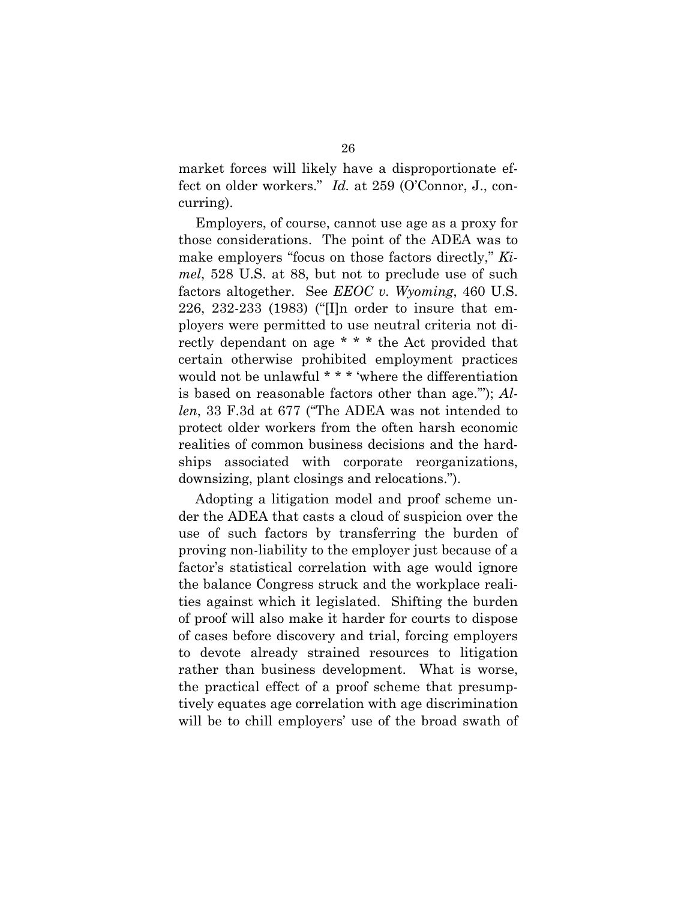market forces will likely have a disproportionate effect on older workers." *Id.* at 259 (O'Connor, J., concurring).

Employers, of course, cannot use age as a proxy for those considerations. The point of the ADEA was to make employers "focus on those factors directly," *Kimel*, 528 U.S. at 88, but not to preclude use of such factors altogether. See *EEOC v. Wyoming*, 460 U.S. 226, 232-233 (1983) ("[I]n order to insure that employers were permitted to use neutral criteria not directly dependant on age \* \* \* the Act provided that certain otherwise prohibited employment practices would not be unlawful \* \* \* 'where the differentiation is based on reasonable factors other than age.'"); *Allen*, 33 F.3d at 677 ("The ADEA was not intended to protect older workers from the often harsh economic realities of common business decisions and the hardships associated with corporate reorganizations, downsizing, plant closings and relocations.").

Adopting a litigation model and proof scheme under the ADEA that casts a cloud of suspicion over the use of such factors by transferring the burden of proving non-liability to the employer just because of a factor's statistical correlation with age would ignore the balance Congress struck and the workplace realities against which it legislated. Shifting the burden of proof will also make it harder for courts to dispose of cases before discovery and trial, forcing employers to devote already strained resources to litigation rather than business development. What is worse, the practical effect of a proof scheme that presumptively equates age correlation with age discrimination will be to chill employers' use of the broad swath of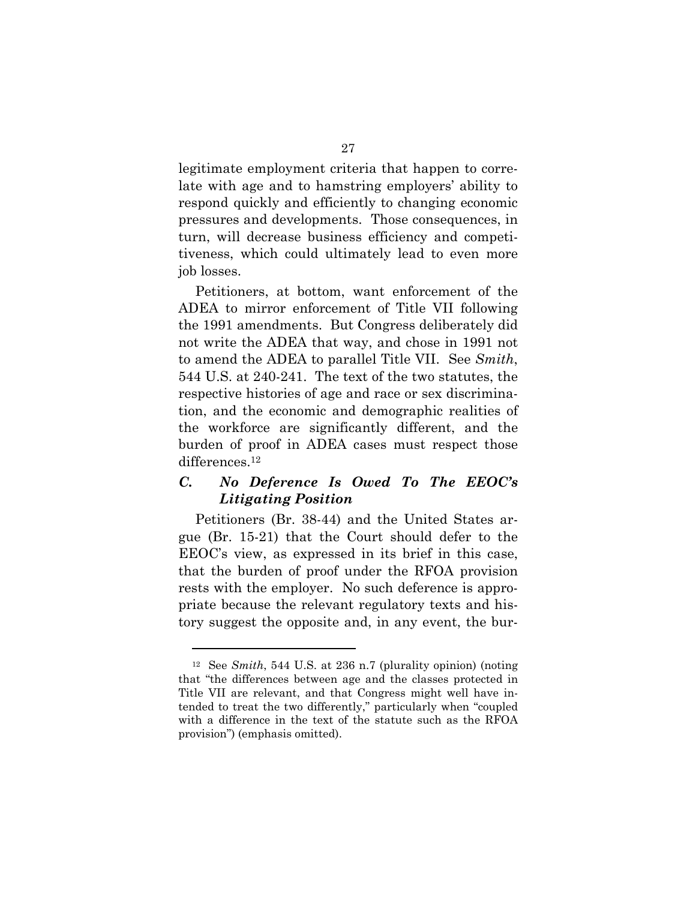legitimate employment criteria that happen to correlate with age and to hamstring employers' ability to respond quickly and efficiently to changing economic pressures and developments. Those consequences, in turn, will decrease business efficiency and competitiveness, which could ultimately lead to even more job losses.

Petitioners, at bottom, want enforcement of the ADEA to mirror enforcement of Title VII following the 1991 amendments. But Congress deliberately did not write the ADEA that way, and chose in 1991 not to amend the ADEA to parallel Title VII. See *Smith*, 544 U.S. at 240-241. The text of the two statutes, the respective histories of age and race or sex discrimination, and the economic and demographic realities of the workforce are significantly different, and the burden of proof in ADEA cases must respect those differences.<sup>12</sup>

# *C. No Deference Is Owed To The EEOC's Litigating Position*

Petitioners (Br. 38-44) and the United States argue (Br. 15-21) that the Court should defer to the EEOC's view, as expressed in its brief in this case, that the burden of proof under the RFOA provision rests with the employer. No such deference is appropriate because the relevant regulatory texts and history suggest the opposite and, in any event, the bur-

<sup>12</sup> See *Smith*, 544 U.S. at 236 n.7 (plurality opinion) (noting that "the differences between age and the classes protected in Title VII are relevant, and that Congress might well have intended to treat the two differently," particularly when "coupled with a difference in the text of the statute such as the RFOA provision") (emphasis omitted).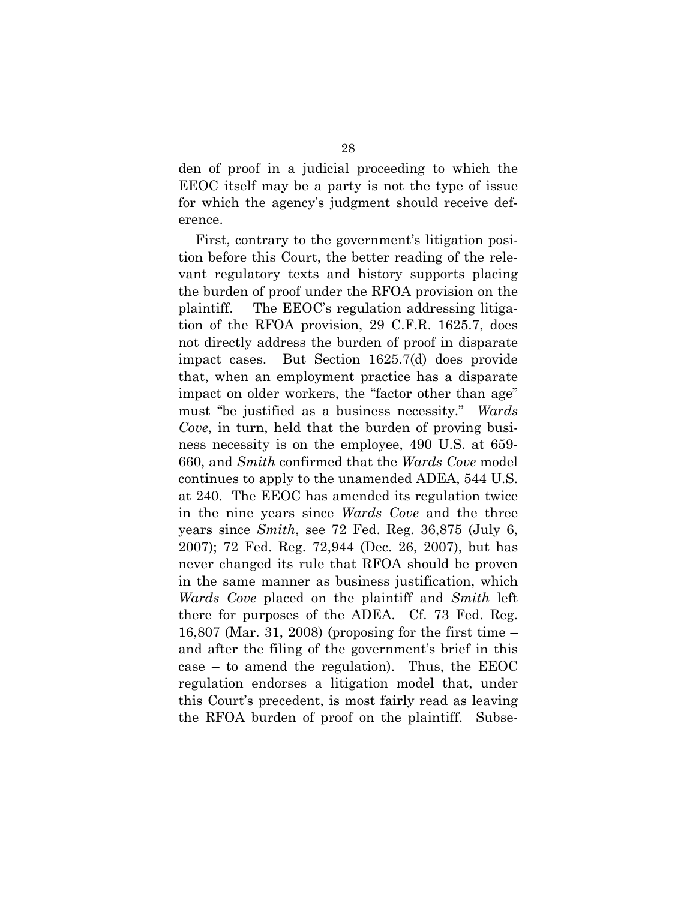den of proof in a judicial proceeding to which the EEOC itself may be a party is not the type of issue for which the agency's judgment should receive deference.

First, contrary to the government's litigation position before this Court, the better reading of the relevant regulatory texts and history supports placing the burden of proof under the RFOA provision on the plaintiff. The EEOC's regulation addressing litigation of the RFOA provision, 29 C.F.R. 1625.7, does not directly address the burden of proof in disparate impact cases. But Section 1625.7(d) does provide that, when an employment practice has a disparate impact on older workers, the "factor other than age" must "be justified as a business necessity." *Wards Cove*, in turn, held that the burden of proving business necessity is on the employee, 490 U.S. at 659- 660, and *Smith* confirmed that the *Wards Cove* model continues to apply to the unamended ADEA, 544 U.S. at 240. The EEOC has amended its regulation twice in the nine years since *Wards Cove* and the three years since *Smith*, see 72 Fed. Reg. 36,875 (July 6, 2007); 72 Fed. Reg. 72,944 (Dec. 26, 2007), but has never changed its rule that RFOA should be proven in the same manner as business justification, which *Wards Cove* placed on the plaintiff and *Smith* left there for purposes of the ADEA. Cf. 73 Fed. Reg. 16,807 (Mar. 31, 2008) (proposing for the first time – and after the filing of the government's brief in this case – to amend the regulation). Thus, the EEOC regulation endorses a litigation model that, under this Court's precedent, is most fairly read as leaving the RFOA burden of proof on the plaintiff. Subse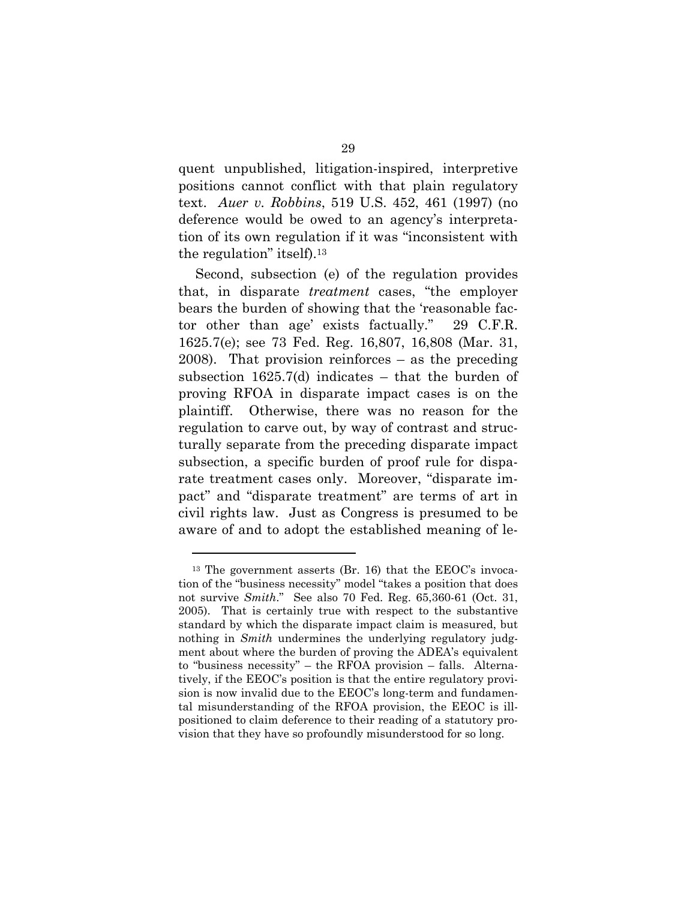quent unpublished, litigation-inspired, interpretive positions cannot conflict with that plain regulatory text. *Auer v. Robbins*, 519 U.S. 452, 461 (1997) (no deference would be owed to an agency's interpretation of its own regulation if it was "inconsistent with the regulation" itself).13

Second, subsection (e) of the regulation provides that, in disparate *treatment* cases, "the employer bears the burden of showing that the 'reasonable factor other than age' exists factually." 29 C.F.R. 1625.7(e); see 73 Fed. Reg. 16,807, 16,808 (Mar. 31, 2008). That provision reinforces – as the preceding subsection  $1625.7(d)$  indicates – that the burden of proving RFOA in disparate impact cases is on the plaintiff. Otherwise, there was no reason for the regulation to carve out, by way of contrast and structurally separate from the preceding disparate impact subsection, a specific burden of proof rule for disparate treatment cases only. Moreover, "disparate impact" and "disparate treatment" are terms of art in civil rights law. Just as Congress is presumed to be aware of and to adopt the established meaning of le-

<sup>13</sup> The government asserts (Br. 16) that the EEOC's invocation of the "business necessity" model "takes a position that does not survive *Smith*." See also 70 Fed. Reg. 65,360-61 (Oct. 31, 2005). That is certainly true with respect to the substantive standard by which the disparate impact claim is measured, but nothing in *Smith* undermines the underlying regulatory judgment about where the burden of proving the ADEA's equivalent to "business necessity" – the RFOA provision – falls. Alternatively, if the EEOC's position is that the entire regulatory provision is now invalid due to the EEOC's long-term and fundamental misunderstanding of the RFOA provision, the EEOC is illpositioned to claim deference to their reading of a statutory provision that they have so profoundly misunderstood for so long.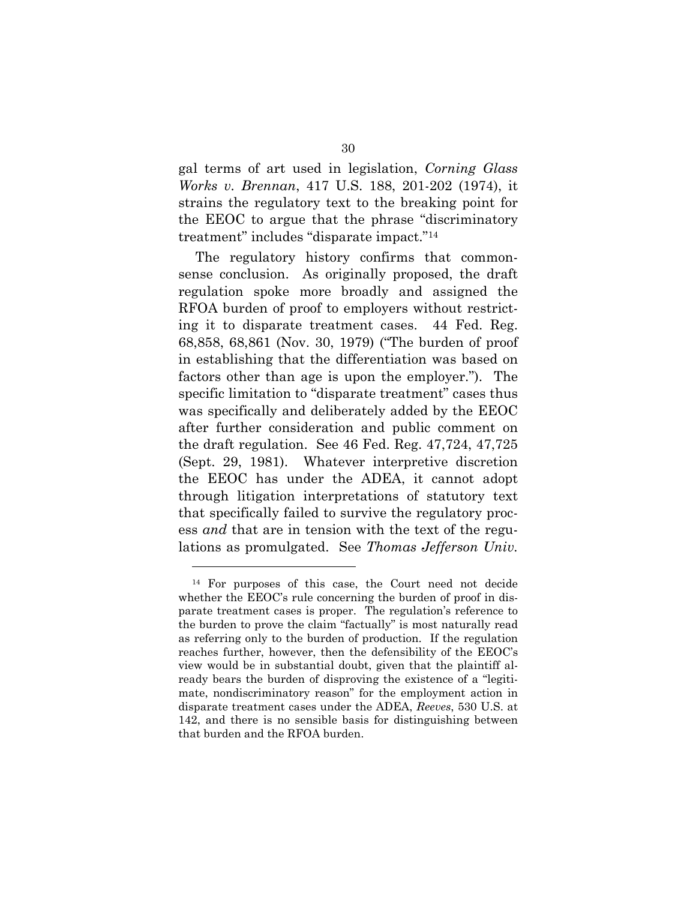gal terms of art used in legislation, *Corning Glass Works v. Brennan*, 417 U.S. 188, 201-202 (1974), it strains the regulatory text to the breaking point for the EEOC to argue that the phrase "discriminatory treatment" includes "disparate impact."14

The regulatory history confirms that commonsense conclusion. As originally proposed, the draft regulation spoke more broadly and assigned the RFOA burden of proof to employers without restricting it to disparate treatment cases. 44 Fed. Reg. 68,858, 68,861 (Nov. 30, 1979) ("The burden of proof in establishing that the differentiation was based on factors other than age is upon the employer."). The specific limitation to "disparate treatment" cases thus was specifically and deliberately added by the EEOC after further consideration and public comment on the draft regulation. See 46 Fed. Reg. 47,724, 47,725 (Sept. 29, 1981). Whatever interpretive discretion the EEOC has under the ADEA, it cannot adopt through litigation interpretations of statutory text that specifically failed to survive the regulatory process *and* that are in tension with the text of the regulations as promulgated. See *Thomas Jefferson Univ.* 

<sup>14</sup> For purposes of this case, the Court need not decide whether the EEOC's rule concerning the burden of proof in disparate treatment cases is proper. The regulation's reference to the burden to prove the claim "factually" is most naturally read as referring only to the burden of production. If the regulation reaches further, however, then the defensibility of the EEOC's view would be in substantial doubt, given that the plaintiff already bears the burden of disproving the existence of a "legitimate, nondiscriminatory reason" for the employment action in disparate treatment cases under the ADEA, *Reeves*, 530 U.S. at 142, and there is no sensible basis for distinguishing between that burden and the RFOA burden.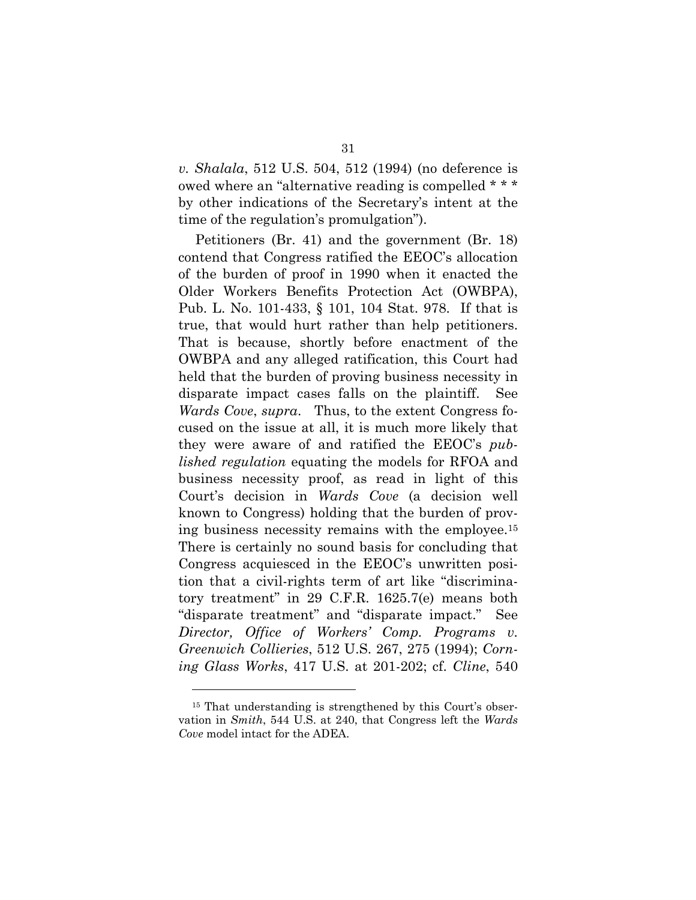*v. Shalala*, 512 U.S. 504, 512 (1994) (no deference is owed where an "alternative reading is compelled \* \* \* by other indications of the Secretary's intent at the time of the regulation's promulgation").

Petitioners (Br. 41) and the government (Br. 18) contend that Congress ratified the EEOC's allocation of the burden of proof in 1990 when it enacted the Older Workers Benefits Protection Act (OWBPA), Pub. L. No. 101-433, § 101, 104 Stat. 978. If that is true, that would hurt rather than help petitioners. That is because, shortly before enactment of the OWBPA and any alleged ratification, this Court had held that the burden of proving business necessity in disparate impact cases falls on the plaintiff. See *Wards Cove*, *supra*. Thus, to the extent Congress focused on the issue at all, it is much more likely that they were aware of and ratified the EEOC's *published regulation* equating the models for RFOA and business necessity proof, as read in light of this Court's decision in *Wards Cove* (a decision well known to Congress) holding that the burden of proving business necessity remains with the employee.15 There is certainly no sound basis for concluding that Congress acquiesced in the EEOC's unwritten position that a civil-rights term of art like "discriminatory treatment" in 29 C.F.R. 1625.7(e) means both "disparate treatment" and "disparate impact." See *Director, Office of Workers' Comp. Programs v. Greenwich Collieries*, 512 U.S. 267, 275 (1994); *Corning Glass Works*, 417 U.S. at 201-202; cf. *Cline*, 540

<sup>&</sup>lt;sup>15</sup> That understanding is strengthened by this Court's observation in *Smith*, 544 U.S. at 240, that Congress left the *Wards Cove* model intact for the ADEA.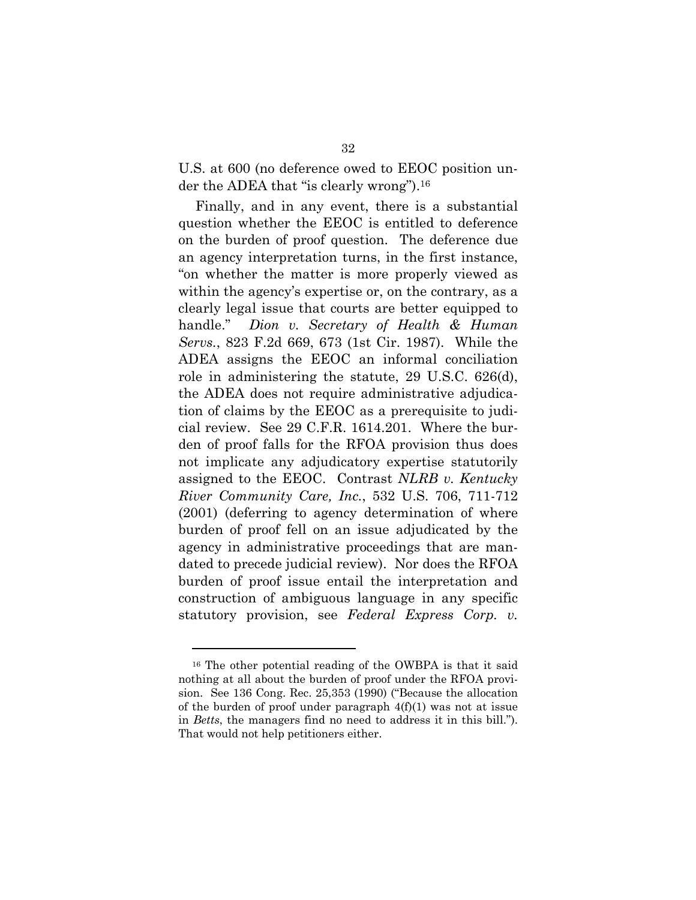U.S. at 600 (no deference owed to EEOC position under the ADEA that "is clearly wrong").16

Finally, and in any event, there is a substantial question whether the EEOC is entitled to deference on the burden of proof question. The deference due an agency interpretation turns, in the first instance, "on whether the matter is more properly viewed as within the agency's expertise or, on the contrary, as a clearly legal issue that courts are better equipped to handle." *Dion v. Secretary of Health & Human Servs.*, 823 F.2d 669, 673 (1st Cir. 1987). While the ADEA assigns the EEOC an informal conciliation role in administering the statute, 29 U.S.C. 626(d), the ADEA does not require administrative adjudication of claims by the EEOC as a prerequisite to judicial review. See 29 C.F.R. 1614.201. Where the burden of proof falls for the RFOA provision thus does not implicate any adjudicatory expertise statutorily assigned to the EEOC. Contrast *NLRB v. Kentucky River Community Care, Inc.*, 532 U.S. 706, 711-712 (2001) (deferring to agency determination of where burden of proof fell on an issue adjudicated by the agency in administrative proceedings that are mandated to precede judicial review). Nor does the RFOA burden of proof issue entail the interpretation and construction of ambiguous language in any specific statutory provision, see *Federal Express Corp. v.* 

<sup>16</sup> The other potential reading of the OWBPA is that it said nothing at all about the burden of proof under the RFOA provision. See 136 Cong. Rec. 25,353 (1990) ("Because the allocation of the burden of proof under paragraph  $4(f)(1)$  was not at issue in *Betts*, the managers find no need to address it in this bill."). That would not help petitioners either.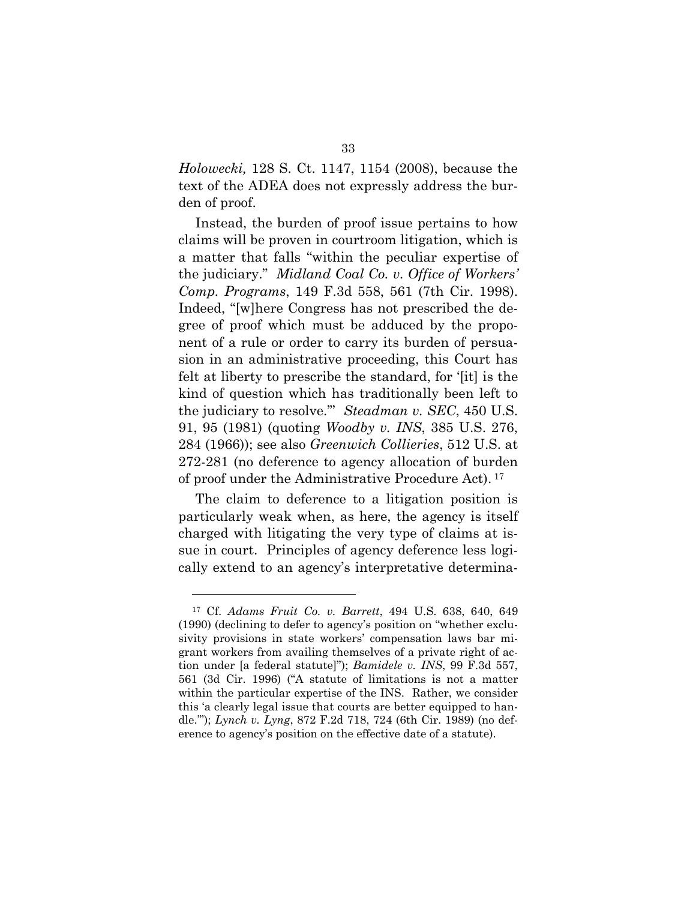*Holowecki,* 128 S. Ct. 1147, 1154 (2008), because the text of the ADEA does not expressly address the burden of proof.

Instead, the burden of proof issue pertains to how claims will be proven in courtroom litigation, which is a matter that falls "within the peculiar expertise of the judiciary." *Midland Coal Co. v. Office of Workers' Comp. Programs*, 149 F.3d 558, 561 (7th Cir. 1998). Indeed, "[w]here Congress has not prescribed the degree of proof which must be adduced by the proponent of a rule or order to carry its burden of persuasion in an administrative proceeding, this Court has felt at liberty to prescribe the standard, for '[it] is the kind of question which has traditionally been left to the judiciary to resolve.'" *Steadman v. SEC*, 450 U.S. 91, 95 (1981) (quoting *Woodby v. INS*, 385 U.S. 276, 284 (1966)); see also *Greenwich Collieries*, 512 U.S. at 272-281 (no deference to agency allocation of burden of proof under the Administrative Procedure Act). 17

The claim to deference to a litigation position is particularly weak when, as here, the agency is itself charged with litigating the very type of claims at issue in court. Principles of agency deference less logically extend to an agency's interpretative determina-

<sup>17</sup> Cf. *Adams Fruit Co. v. Barrett*, 494 U.S. 638, 640, 649 (1990) (declining to defer to agency's position on "whether exclusivity provisions in state workers' compensation laws bar migrant workers from availing themselves of a private right of action under [a federal statute]"); *Bamidele v. INS*, 99 F.3d 557, 561 (3d Cir. 1996) ("A statute of limitations is not a matter within the particular expertise of the INS. Rather, we consider this 'a clearly legal issue that courts are better equipped to handle.'"); *Lynch v. Lyng*, 872 F.2d 718, 724 (6th Cir. 1989) (no deference to agency's position on the effective date of a statute).